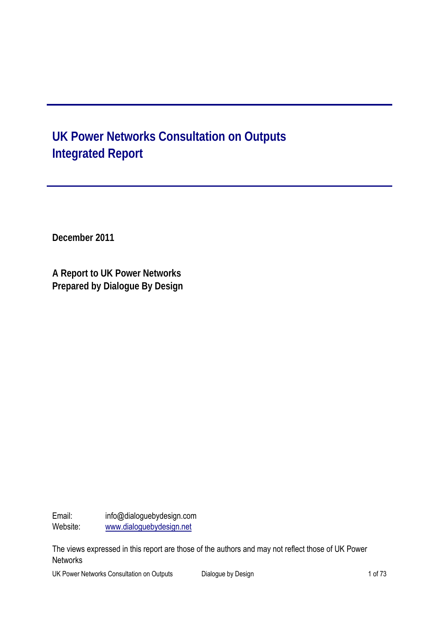# **UK Power Networks Consultation on Outputs Integrated Report**

**December 2011** 

**A Report to UK Power Networks Prepared by Dialogue By Design** 

Email: info@dialoguebydesign.com Website: www.dialoguebydesign.net

The views expressed in this report are those of the authors and may not reflect those of UK Power **Networks** 

UK Power Networks Consultation on Outputs Dialogue by Design 1 of 73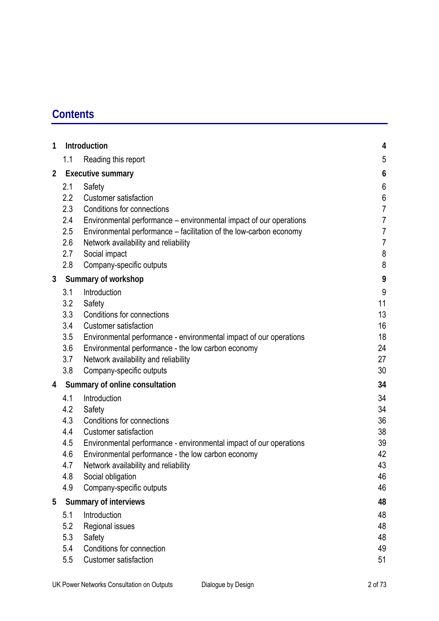# **Contents**

| 1              | Introduction                   |                                                                    | 4                |
|----------------|--------------------------------|--------------------------------------------------------------------|------------------|
|                | 1.1                            | Reading this report                                                | 5                |
| $\overline{2}$ | <b>Executive summary</b>       |                                                                    | 6                |
|                | 2.1                            | Safety                                                             | $6\phantom{a}$   |
|                | 2.2                            | <b>Customer satisfaction</b>                                       | $\boldsymbol{6}$ |
|                | 2.3                            | Conditions for connections                                         | $\overline{7}$   |
|                | 2.4                            | Environmental performance – environmental impact of our operations | $\overline{7}$   |
|                | 2.5                            | Environmental performance - facilitation of the low-carbon economy | $\overline{7}$   |
|                | 2.6                            | Network availability and reliability                               | $\overline{7}$   |
|                | 2.7                            | Social impact                                                      | 8                |
|                | 2.8                            | Company-specific outputs                                           | 8                |
| 3              | Summary of workshop            |                                                                    |                  |
|                | 3.1                            | Introduction                                                       | 9                |
|                | 3.2                            | Safety                                                             | 11               |
|                | 3.3                            | Conditions for connections                                         | 13               |
|                | 3.4                            | <b>Customer satisfaction</b>                                       | 16               |
|                | 3.5                            | Environmental performance - environmental impact of our operations | 18               |
|                | 3.6                            | Environmental performance - the low carbon economy                 | 24               |
|                | 3.7                            | Network availability and reliability                               | 27               |
|                | 3.8                            | Company-specific outputs                                           | 30               |
| 4              | Summary of online consultation |                                                                    | 34               |
|                | 4.1                            | Introduction                                                       | 34               |
|                | 4.2                            | Safety                                                             | 34               |
|                | 4.3                            | Conditions for connections                                         | 36               |
|                | 4.4                            | <b>Customer satisfaction</b>                                       | 38               |
|                | 4.5                            | Environmental performance - environmental impact of our operations | 39               |
|                | 4.6                            | Environmental performance - the low carbon economy                 | 42               |
|                | 4.7                            | Network availability and reliability                               | 43               |
|                | 4.8                            | Social obligation                                                  | 46<br>46         |
|                | 4.9                            | Company-specific outputs                                           |                  |
| 5              | <b>Summary of interviews</b>   |                                                                    | 48               |
|                | 5.1                            | Introduction                                                       | 48               |
|                | 5.2                            | Regional issues                                                    | 48               |
|                | 5.3                            | Safety                                                             | 48               |
|                | 5.4<br>5.5                     | Conditions for connection<br>Customer satisfaction                 | 49               |
|                |                                |                                                                    | 51               |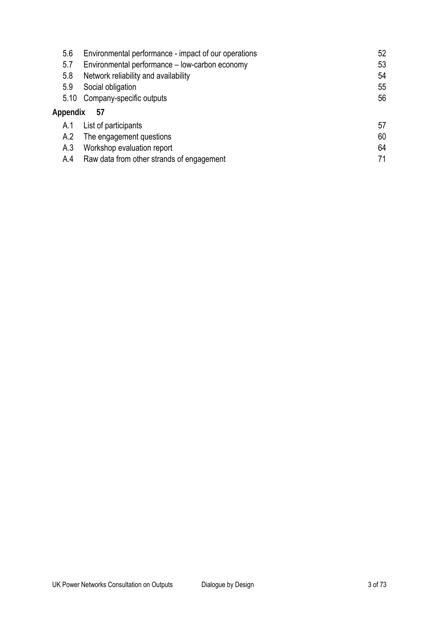| 5.6      | Environmental performance - impact of our operations | 52 |
|----------|------------------------------------------------------|----|
| 5.7      | Environmental performance - low-carbon economy       | 53 |
| 5.8      | Network reliability and availability                 | 54 |
| 5.9      | Social obligation                                    | 55 |
| 5.10     | Company-specific outputs                             | 56 |
| Appendix | 57                                                   |    |
| A.1      | List of participants                                 | 57 |
| A.2      | The engagement questions                             | 60 |
| A.3      | Workshop evaluation report                           | 64 |
| A.4      | Raw data from other strands of engagement            | 71 |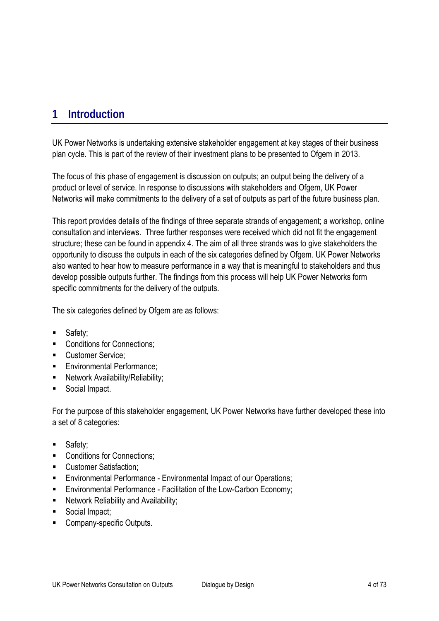# **1 Introduction**

UK Power Networks is undertaking extensive stakeholder engagement at key stages of their business plan cycle. This is part of the review of their investment plans to be presented to Ofgem in 2013.

The focus of this phase of engagement is discussion on outputs; an output being the delivery of a product or level of service. In response to discussions with stakeholders and Ofgem, UK Power Networks will make commitments to the delivery of a set of outputs as part of the future business plan.

This report provides details of the findings of three separate strands of engagement; a workshop, online consultation and interviews. Three further responses were received which did not fit the engagement structure; these can be found in appendix 4. The aim of all three strands was to give stakeholders the opportunity to discuss the outputs in each of the six categories defined by Ofgem. UK Power Networks also wanted to hear how to measure performance in a way that is meaningful to stakeholders and thus develop possible outputs further. The findings from this process will help UK Power Networks form specific commitments for the delivery of the outputs.

The six categories defined by Ofgem are as follows:

- Safety;
- Conditions for Connections;
- **Customer Service:**
- **Environmental Performance:**
- **Network Availability/Reliability:**
- Social Impact.

For the purpose of this stakeholder engagement, UK Power Networks have further developed these into a set of 8 categories:

- Safety;
- Conditions for Connections;
- **Customer Satisfaction:**
- **Environmental Performance Environmental Impact of our Operations;**
- **Environmental Performance Facilitation of the Low-Carbon Economy:**
- **Network Reliability and Availability;**
- Social Impact:
- Company-specific Outputs.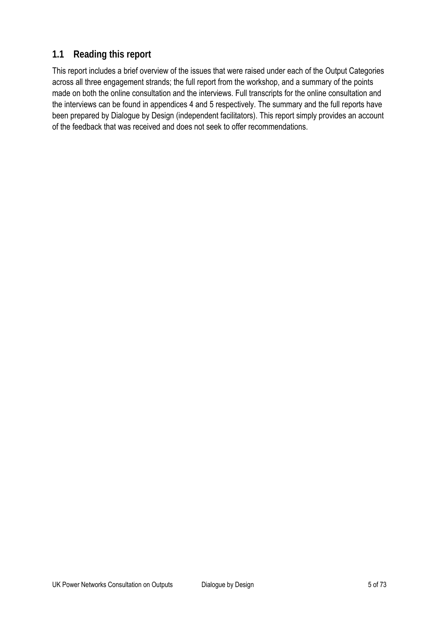# **1.1 Reading this report**

This report includes a brief overview of the issues that were raised under each of the Output Categories across all three engagement strands; the full report from the workshop, and a summary of the points made on both the online consultation and the interviews. Full transcripts for the online consultation and the interviews can be found in appendices 4 and 5 respectively. The summary and the full reports have been prepared by Dialogue by Design (independent facilitators). This report simply provides an account of the feedback that was received and does not seek to offer recommendations.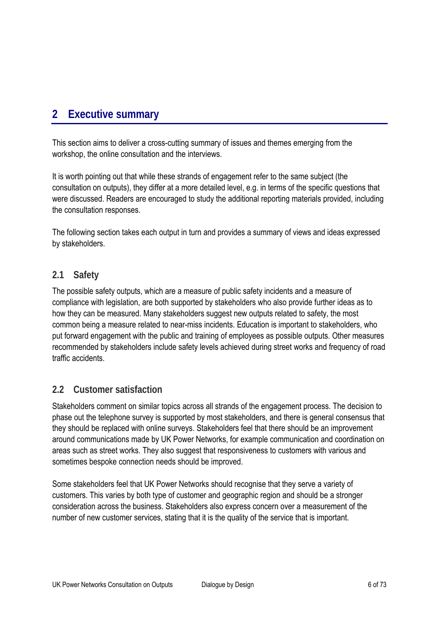# **2 Executive summary**

This section aims to deliver a cross-cutting summary of issues and themes emerging from the workshop, the online consultation and the interviews.

It is worth pointing out that while these strands of engagement refer to the same subject (the consultation on outputs), they differ at a more detailed level, e.g. in terms of the specific questions that were discussed. Readers are encouraged to study the additional reporting materials provided, including the consultation responses.

The following section takes each output in turn and provides a summary of views and ideas expressed by stakeholders.

# **2.1 Safety**

The possible safety outputs, which are a measure of public safety incidents and a measure of compliance with legislation, are both supported by stakeholders who also provide further ideas as to how they can be measured. Many stakeholders suggest new outputs related to safety, the most common being a measure related to near-miss incidents. Education is important to stakeholders, who put forward engagement with the public and training of employees as possible outputs. Other measures recommended by stakeholders include safety levels achieved during street works and frequency of road traffic accidents.

# **2.2 Customer satisfaction**

Stakeholders comment on similar topics across all strands of the engagement process. The decision to phase out the telephone survey is supported by most stakeholders, and there is general consensus that they should be replaced with online surveys. Stakeholders feel that there should be an improvement around communications made by UK Power Networks, for example communication and coordination on areas such as street works. They also suggest that responsiveness to customers with various and sometimes bespoke connection needs should be improved.

Some stakeholders feel that UK Power Networks should recognise that they serve a variety of customers. This varies by both type of customer and geographic region and should be a stronger consideration across the business. Stakeholders also express concern over a measurement of the number of new customer services, stating that it is the quality of the service that is important.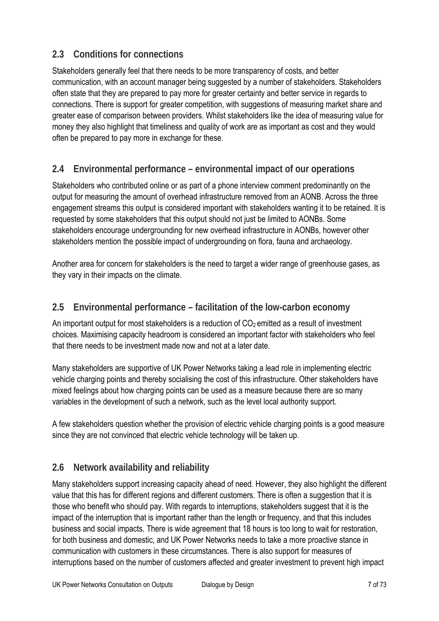# **2.3 Conditions for connections**

Stakeholders generally feel that there needs to be more transparency of costs, and better communication, with an account manager being suggested by a number of stakeholders. Stakeholders often state that they are prepared to pay more for greater certainty and better service in regards to connections. There is support for greater competition, with suggestions of measuring market share and greater ease of comparison between providers. Whilst stakeholders like the idea of measuring value for money they also highlight that timeliness and quality of work are as important as cost and they would often be prepared to pay more in exchange for these.

# **2.4 Environmental performance – environmental impact of our operations**

Stakeholders who contributed online or as part of a phone interview comment predominantly on the output for measuring the amount of overhead infrastructure removed from an AONB. Across the three engagement streams this output is considered important with stakeholders wanting it to be retained. It is requested by some stakeholders that this output should not just be limited to AONBs. Some stakeholders encourage undergrounding for new overhead infrastructure in AONBs, however other stakeholders mention the possible impact of undergrounding on flora, fauna and archaeology.

Another area for concern for stakeholders is the need to target a wider range of greenhouse gases, as they vary in their impacts on the climate.

# **2.5 Environmental performance – facilitation of the low-carbon economy**

An important output for most stakeholders is a reduction of  $CO<sub>2</sub>$  emitted as a result of investment choices. Maximising capacity headroom is considered an important factor with stakeholders who feel that there needs to be investment made now and not at a later date.

Many stakeholders are supportive of UK Power Networks taking a lead role in implementing electric vehicle charging points and thereby socialising the cost of this infrastructure. Other stakeholders have mixed feelings about how charging points can be used as a measure because there are so many variables in the development of such a network, such as the level local authority support.

A few stakeholders question whether the provision of electric vehicle charging points is a good measure since they are not convinced that electric vehicle technology will be taken up.

# **2.6 Network availability and reliability**

Many stakeholders support increasing capacity ahead of need. However, they also highlight the different value that this has for different regions and different customers. There is often a suggestion that it is those who benefit who should pay. With regards to interruptions, stakeholders suggest that it is the impact of the interruption that is important rather than the length or frequency, and that this includes business and social impacts. There is wide agreement that 18 hours is too long to wait for restoration, for both business and domestic, and UK Power Networks needs to take a more proactive stance in communication with customers in these circumstances. There is also support for measures of interruptions based on the number of customers affected and greater investment to prevent high impact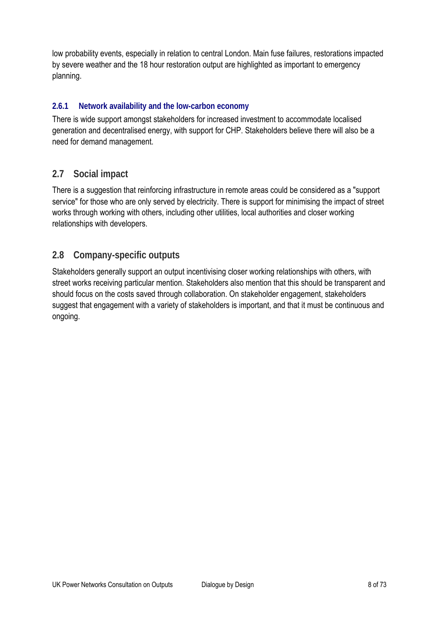low probability events, especially in relation to central London. Main fuse failures, restorations impacted by severe weather and the 18 hour restoration output are highlighted as important to emergency planning.

# **2.6.1 Network availability and the low-carbon economy**

There is wide support amongst stakeholders for increased investment to accommodate localised generation and decentralised energy, with support for CHP. Stakeholders believe there will also be a need for demand management.

# **2.7 Social impact**

There is a suggestion that reinforcing infrastructure in remote areas could be considered as a "support service" for those who are only served by electricity. There is support for minimising the impact of street works through working with others, including other utilities, local authorities and closer working relationships with developers.

# **2.8 Company-specific outputs**

Stakeholders generally support an output incentivising closer working relationships with others, with street works receiving particular mention. Stakeholders also mention that this should be transparent and should focus on the costs saved through collaboration. On stakeholder engagement, stakeholders suggest that engagement with a variety of stakeholders is important, and that it must be continuous and ongoing.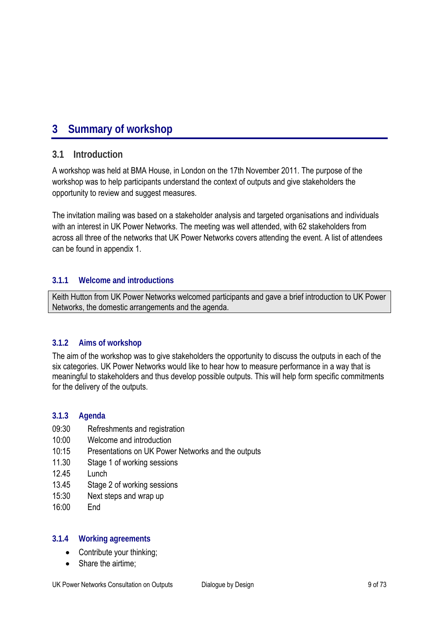# **3 Summary of workshop**

# **3.1 Introduction**

A workshop was held at BMA House, in London on the 17th November 2011. The purpose of the workshop was to help participants understand the context of outputs and give stakeholders the opportunity to review and suggest measures.

The invitation mailing was based on a stakeholder analysis and targeted organisations and individuals with an interest in UK Power Networks. The meeting was well attended, with 62 stakeholders from across all three of the networks that UK Power Networks covers attending the event. A list of attendees can be found in appendix 1.

## **3.1.1 Welcome and introductions**

Keith Hutton from UK Power Networks welcomed participants and gave a brief introduction to UK Power Networks, the domestic arrangements and the agenda.

# **3.1.2 Aims of workshop**

The aim of the workshop was to give stakeholders the opportunity to discuss the outputs in each of the six categories. UK Power Networks would like to hear how to measure performance in a way that is meaningful to stakeholders and thus develop possible outputs. This will help form specific commitments for the delivery of the outputs.

# **3.1.3 Agenda**

- 09:30 Refreshments and registration
- 10:00 Welcome and introduction
- 10:15 Presentations on UK Power Networks and the outputs
- 11.30 Stage 1 of working sessions
- 12.45 Lunch
- 13.45 Stage 2 of working sessions
- 15:30 Next steps and wrap up
- 16:00 End

## **3.1.4 Working agreements**

- Contribute your thinking;
- Share the airtime: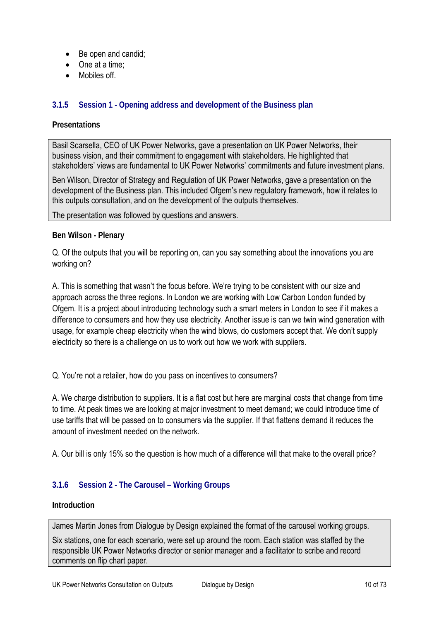- Be open and candid;
- One at a time:
- Mobiles off

## **3.1.5 Session 1 - Opening address and development of the Business plan**

### **Presentations**

Basil Scarsella, CEO of UK Power Networks, gave a presentation on UK Power Networks, their business vision, and their commitment to engagement with stakeholders. He highlighted that stakeholders' views are fundamental to UK Power Networks' commitments and future investment plans.

Ben Wilson, Director of Strategy and Regulation of UK Power Networks, gave a presentation on the development of the Business plan. This included Ofgem's new regulatory framework, how it relates to this outputs consultation, and on the development of the outputs themselves.

The presentation was followed by questions and answers.

#### **Ben Wilson - Plenary**

Q. Of the outputs that you will be reporting on, can you say something about the innovations you are working on?

A. This is something that wasn't the focus before. We're trying to be consistent with our size and approach across the three regions. In London we are working with Low Carbon London funded by Ofgem. It is a project about introducing technology such a smart meters in London to see if it makes a difference to consumers and how they use electricity. Another issue is can we twin wind generation with usage, for example cheap electricity when the wind blows, do customers accept that. We don't supply electricity so there is a challenge on us to work out how we work with suppliers.

Q. You're not a retailer, how do you pass on incentives to consumers?

A. We charge distribution to suppliers. It is a flat cost but here are marginal costs that change from time to time. At peak times we are looking at major investment to meet demand; we could introduce time of use tariffs that will be passed on to consumers via the supplier. If that flattens demand it reduces the amount of investment needed on the network.

A. Our bill is only 15% so the question is how much of a difference will that make to the overall price?

## **3.1.6 Session 2 - The Carousel – Working Groups**

#### **Introduction**

James Martin Jones from Dialogue by Design explained the format of the carousel working groups.

Six stations, one for each scenario, were set up around the room. Each station was staffed by the responsible UK Power Networks director or senior manager and a facilitator to scribe and record comments on flip chart paper.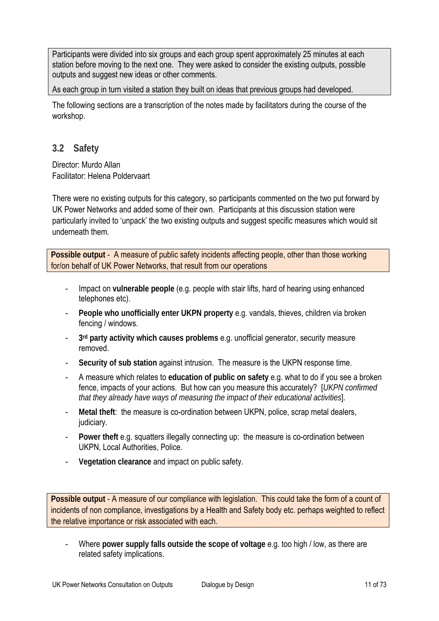Participants were divided into six groups and each group spent approximately 25 minutes at each station before moving to the next one. They were asked to consider the existing outputs, possible outputs and suggest new ideas or other comments.

As each group in turn visited a station they built on ideas that previous groups had developed.

The following sections are a transcription of the notes made by facilitators during the course of the workshop.

# **3.2 Safety**

Director: Murdo Allan Facilitator: Helena Poldervaart

There were no existing outputs for this category, so participants commented on the two put forward by UK Power Networks and added some of their own. Participants at this discussion station were particularly invited to 'unpack' the two existing outputs and suggest specific measures which would sit underneath them.

**Possible output** - A measure of public safety incidents affecting people, other than those working for/on behalf of UK Power Networks, that result from our operations

- Impact on **vulnerable people** (e.g. people with stair lifts, hard of hearing using enhanced telephones etc).
- People who unofficially enter UKPN property e.g. vandals, thieves, children via broken fencing / windows.
- **3rd party activity which causes problems** e.g. unofficial generator, security measure removed.
- **Security of sub station** against intrusion. The measure is the UKPN response time.
- A measure which relates to **education of public on safety** e.g. what to do if you see a broken fence, impacts of your actions. But how can you measure this accurately? [*UKPN confirmed that they already have ways of measuring the impact of their educational activities*].
- **Metal theft**: the measure is co-ordination between UKPN, police, scrap metal dealers, judiciary.
- **Power theft e.g. squatters illegally connecting up: the measure is co-ordination between** UKPN, Local Authorities, Police.
- **Vegetation clearance** and impact on public safety.

**Possible output** - A measure of our compliance with legislation. This could take the form of a count of incidents of non compliance, investigations by a Health and Safety body etc. perhaps weighted to reflect the relative importance or risk associated with each.

- Where **power supply falls outside the scope of voltage** e.g. too high / low, as there are related safety implications.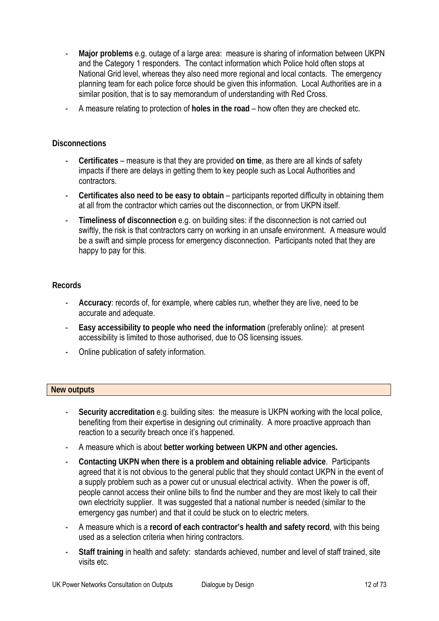- **Major problems** e.g. outage of a large area: measure is sharing of information between UKPN and the Category 1 responders. The contact information which Police hold often stops at National Grid level, whereas they also need more regional and local contacts. The emergency planning team for each police force should be given this information. Local Authorities are in a similar position, that is to say memorandum of understanding with Red Cross.
- A measure relating to protection of **holes in the road** how often they are checked etc.

#### **Disconnections**

- **Certificates**  measure is that they are provided **on time**, as there are all kinds of safety impacts if there are delays in getting them to key people such as Local Authorities and contractors.
- **Certificates also need to be easy to obtain** participants reported difficulty in obtaining them at all from the contractor which carries out the disconnection, or from UKPN itself.
- **Timeliness of disconnection** e.g. on building sites: if the disconnection is not carried out swiftly, the risk is that contractors carry on working in an unsafe environment. A measure would be a swift and simple process for emergency disconnection. Participants noted that they are happy to pay for this.

#### **Records**

- **Accuracy**: records of, for example, where cables run, whether they are live, need to be accurate and adequate.
- **Easy accessibility to people who need the information** (preferably online): at present accessibility is limited to those authorised, due to OS licensing issues.
- Online publication of safety information.

#### **New outputs**

- Security accreditation e.g. building sites: the measure is UKPN working with the local police, benefiting from their expertise in designing out criminality. A more proactive approach than reaction to a security breach once it's happened.
- A measure which is about **better working between UKPN and other agencies.**
- **Contacting UKPN when there is a problem and obtaining reliable advice**. Participants agreed that it is not obvious to the general public that they should contact UKPN in the event of a supply problem such as a power cut or unusual electrical activity. When the power is off, people cannot access their online bills to find the number and they are most likely to call their own electricity supplier. It was suggested that a national number is needed (similar to the emergency gas number) and that it could be stuck on to electric meters.
- A measure which is a **record of each contractor's health and safety record**, with this being used as a selection criteria when hiring contractors.
- **Staff training** in health and safety: standards achieved, number and level of staff trained, site visits etc.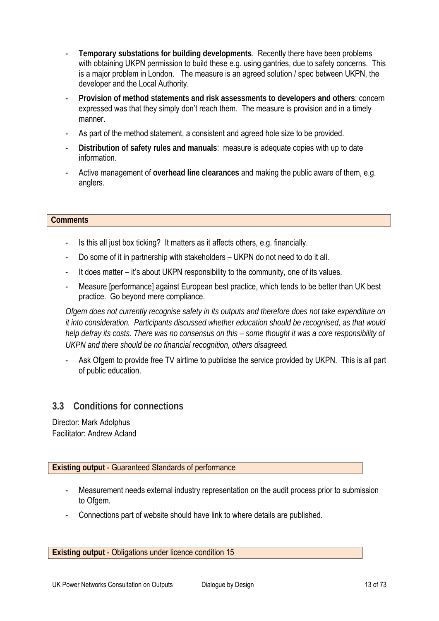- **Temporary substations for building developments**. Recently there have been problems with obtaining UKPN permission to build these e.g. using gantries, due to safety concerns. This is a major problem in London. The measure is an agreed solution / spec between UKPN, the developer and the Local Authority.
- **Provision of method statements and risk assessments to developers and others**: concern expressed was that they simply don't reach them. The measure is provision and in a timely manner.
- As part of the method statement, a consistent and agreed hole size to be provided.
- Distribution of safety rules and manuals: measure is adequate copies with up to date information.
- Active management of **overhead line clearances** and making the public aware of them, e.g. anglers.

#### **Comments**

- Is this all just box ticking? It matters as it affects others, e.g. financially.
- Do some of it in partnership with stakeholders UKPN do not need to do it all.
- It does matter it's about UKPN responsibility to the community, one of its values.
- Measure [performance] against European best practice, which tends to be better than UK best practice. Go beyond mere compliance.

*Ofgem does not currently recognise safety in its outputs and therefore does not take expenditure on it into consideration. Participants discussed whether education should be recognised, as that would help defray its costs. There was no consensus on this – some thought it was a core responsibility of UKPN and there should be no financial recognition, others disagreed.* 

- Ask Ofgem to provide free TV airtime to publicise the service provided by UKPN. This is all part of public education.

# **3.3 Conditions for connections**

Director: Mark Adolphus Facilitator: Andrew Acland

**Existing output** - Guaranteed Standards of performance

- Measurement needs external industry representation on the audit process prior to submission to Ofgem.
- Connections part of website should have link to where details are published.

**Existing output** - Obligations under licence condition 15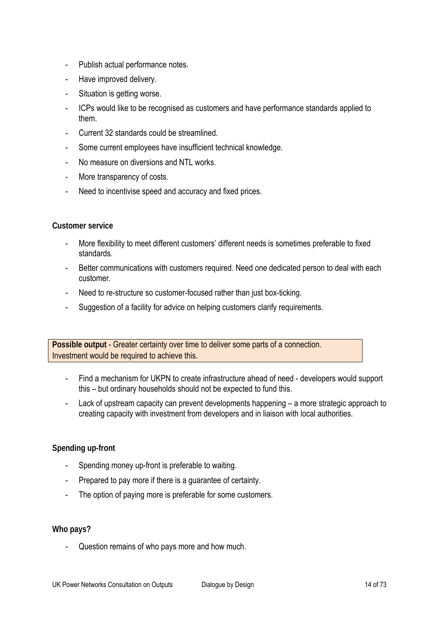- Publish actual performance notes.
- Have improved delivery.
- Situation is getting worse.
- ICPs would like to be recognised as customers and have performance standards applied to them.
- Current 32 standards could be streamlined.
- Some current employees have insufficient technical knowledge.
- No measure on diversions and NTL works.
- More transparency of costs.
- Need to incentivise speed and accuracy and fixed prices.

#### **Customer service**

- More flexibility to meet different customers' different needs is sometimes preferable to fixed standards.
- Better communications with customers required. Need one dedicated person to deal with each customer.
- Need to re-structure so customer-focused rather than just box-ticking.
- Suggestion of a facility for advice on helping customers clarify requirements.

**Possible output** - Greater certainty over time to deliver some parts of a connection. Investment would be required to achieve this.

- Find a mechanism for UKPN to create infrastructure ahead of need developers would support this – but ordinary households should not be expected to fund this.
- Lack of upstream capacity can prevent developments happening a more strategic approach to creating capacity with investment from developers and in liaison with local authorities.

## **Spending up-front**

- Spending money up-front is preferable to waiting.
- Prepared to pay more if there is a guarantee of certainty.
- The option of paying more is preferable for some customers.

#### **Who pays?**

Question remains of who pays more and how much.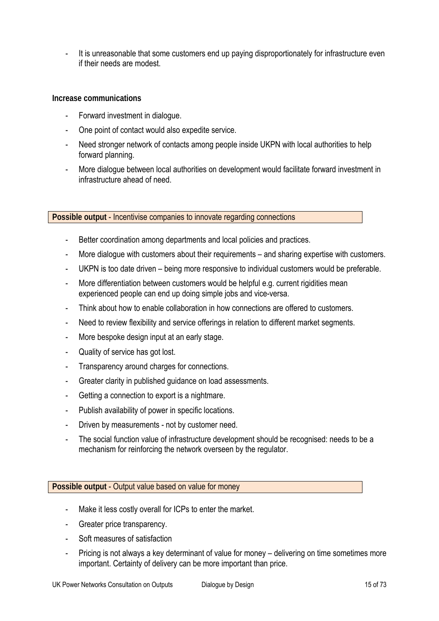It is unreasonable that some customers end up paying disproportionately for infrastructure even if their needs are modest.

#### **Increase communications**

- Forward investment in dialogue.
- One point of contact would also expedite service.
- Need stronger network of contacts among people inside UKPN with local authorities to help forward planning.
- More dialogue between local authorities on development would facilitate forward investment in infrastructure ahead of need.

**Possible output** - Incentivise companies to innovate regarding connections

- Better coordination among departments and local policies and practices.
- More dialogue with customers about their requirements and sharing expertise with customers.
- UKPN is too date driven being more responsive to individual customers would be preferable.
- More differentiation between customers would be helpful e.g. current rigidities mean experienced people can end up doing simple jobs and vice-versa.
- Think about how to enable collaboration in how connections are offered to customers.
- Need to review flexibility and service offerings in relation to different market segments.
- More bespoke design input at an early stage.
- Quality of service has got lost.
- Transparency around charges for connections.
- Greater clarity in published guidance on load assessments.
- Getting a connection to export is a nightmare.
- Publish availability of power in specific locations.
- Driven by measurements not by customer need.
- The social function value of infrastructure development should be recognised: needs to be a mechanism for reinforcing the network overseen by the regulator.

#### **Possible output** - Output value based on value for money

- Make it less costly overall for ICPs to enter the market.
- Greater price transparency.
- Soft measures of satisfaction
- Pricing is not always a key determinant of value for money delivering on time sometimes more important. Certainty of delivery can be more important than price.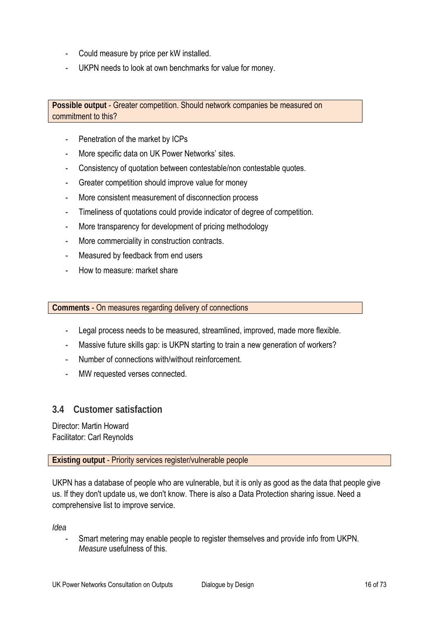- Could measure by price per kW installed.
- UKPN needs to look at own benchmarks for value for money.

**Possible output** - Greater competition. Should network companies be measured on commitment to this?

- Penetration of the market by ICPs
- More specific data on UK Power Networks' sites.
- Consistency of quotation between contestable/non contestable quotes.
- Greater competition should improve value for money
- More consistent measurement of disconnection process
- Timeliness of quotations could provide indicator of degree of competition.
- More transparency for development of pricing methodology
- More commerciality in construction contracts.
- Measured by feedback from end users
- How to measure: market share

**Comments** - On measures regarding delivery of connections

- Legal process needs to be measured, streamlined, improved, made more flexible.
- Massive future skills gap: is UKPN starting to train a new generation of workers?
- Number of connections with/without reinforcement.
- MW requested verses connected.

# **3.4 Customer satisfaction**

Director: Martin Howard Facilitator: Carl Reynolds

## **Existing output** - Priority services register/vulnerable people

UKPN has a database of people who are vulnerable, but it is only as good as the data that people give us. If they don't update us, we don't know. There is also a Data Protection sharing issue. Need a comprehensive list to improve service.

*Idea*

- Smart metering may enable people to register themselves and provide info from UKPN. *Measure* usefulness of this.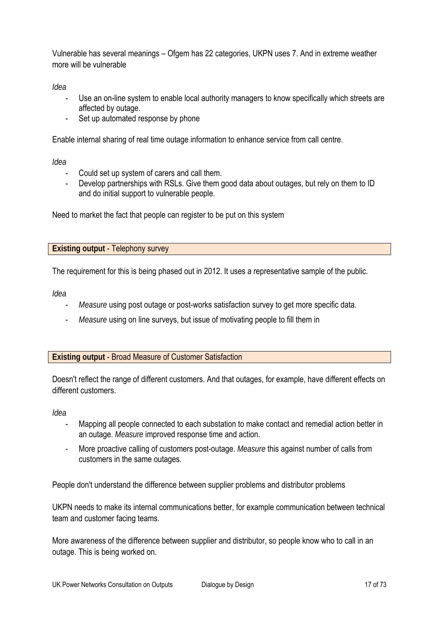Vulnerable has several meanings – Ofgem has 22 categories, UKPN uses 7. And in extreme weather more will be vulnerable

*Idea*

- Use an on-line system to enable local authority managers to know specifically which streets are affected by outage.
- Set up automated response by phone

Enable internal sharing of real time outage information to enhance service from call centre.

*Idea*

- Could set up system of carers and call them.
- Develop partnerships with RSLs. Give them good data about outages, but rely on them to ID and do initial support to vulnerable people.

Need to market the fact that people can register to be put on this system

**Existing output** - Telephony survey

The requirement for this is being phased out in 2012. It uses a representative sample of the public.

*Idea*

- *Measure* using post outage or post-works satisfaction survey to get more specific data.
- *Measure* using on line surveys, but issue of motivating people to fill them in

#### **Existing output** - Broad Measure of Customer Satisfaction

Doesn't reflect the range of different customers. And that outages, for example, have different effects on different customers.

*Idea*

- Mapping all people connected to each substation to make contact and remedial action better in an outage. *Measure* improved response time and action.
- More proactive calling of customers post-outage. *Measure* this against number of calls from customers in the same outages.

People don't understand the difference between supplier problems and distributor problems

UKPN needs to make its internal communications better, for example communication between technical team and customer facing teams.

More awareness of the difference between supplier and distributor, so people know who to call in an outage. This is being worked on.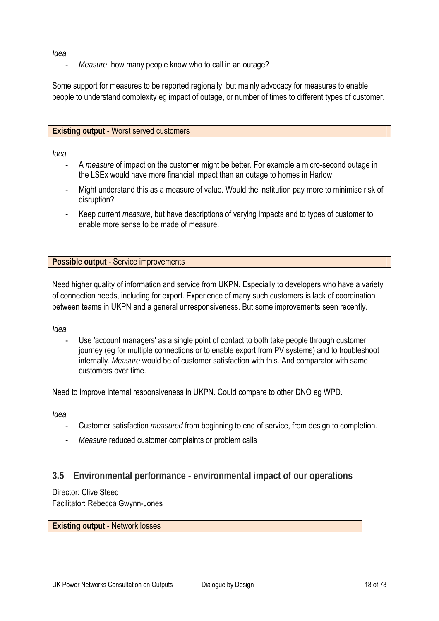*Idea* 

*Measure*; how many people know who to call in an outage?

Some support for measures to be reported regionally, but mainly advocacy for measures to enable people to understand complexity eg impact of outage, or number of times to different types of customer.

## **Existing output** - Worst served customers

*Idea*

- A *measure* of impact on the customer might be better. For example a micro-second outage in the LSEx would have more financial impact than an outage to homes in Harlow.
- Might understand this as a measure of value. Would the institution pay more to minimise risk of disruption?
- Keep current *measure*, but have descriptions of varying impacts and to types of customer to enable more sense to be made of measure.

**Possible output** - Service improvements

Need higher quality of information and service from UKPN. Especially to developers who have a variety of connection needs, including for export. Experience of many such customers is lack of coordination between teams in UKPN and a general unresponsiveness. But some improvements seen recently.

*Idea*

Use 'account managers' as a single point of contact to both take people through customer journey (eg for multiple connections or to enable export from PV systems) and to troubleshoot internally. *Measure* would be of customer satisfaction with this. And comparator with same customers over time.

Need to improve internal responsiveness in UKPN. Could compare to other DNO eg WPD.

*Idea*

- Customer satisfaction *measured* from beginning to end of service, from design to completion.
- *Measure* reduced customer complaints or problem calls

# **3.5 Environmental performance - environmental impact of our operations**

Director: Clive Steed

Facilitator: Rebecca Gwynn-Jones

**Existing output** - Network losses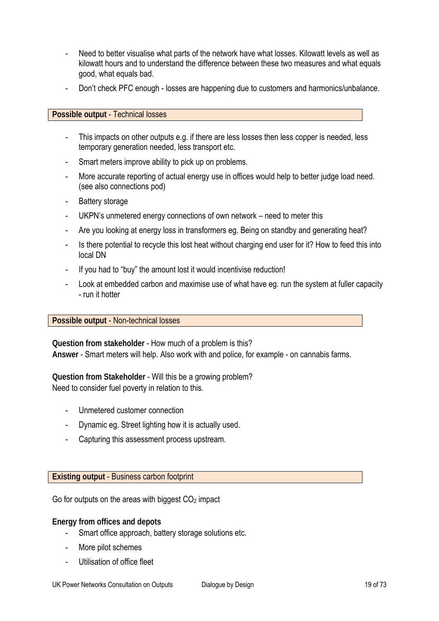- Need to better visualise what parts of the network have what losses. Kilowatt levels as well as kilowatt hours and to understand the difference between these two measures and what equals good, what equals bad.
- Don't check PFC enough losses are happening due to customers and harmonics/unbalance.

#### **Possible output** - Technical losses

- This impacts on other outputs e.g. if there are less losses then less copper is needed, less temporary generation needed, less transport etc.
- Smart meters improve ability to pick up on problems.
- More accurate reporting of actual energy use in offices would help to better judge load need. (see also connections pod)
- Battery storage
- UKPN's unmetered energy connections of own network need to meter this
- Are you looking at energy loss in transformers eg. Being on standby and generating heat?
- Is there potential to recycle this lost heat without charging end user for it? How to feed this into local DN
- If you had to "buy" the amount lost it would incentivise reduction!
- Look at embedded carbon and maximise use of what have eg. run the system at fuller capacity - run it hotter

## **Possible output** - Non-technical losses

**Question from stakeholder** - How much of a problem is this? **Answer** - Smart meters will help. Also work with and police, for example - on cannabis farms.

## **Question from Stakeholder** - Will this be a growing problem? Need to consider fuel poverty in relation to this.

- Unmetered customer connection
- Dynamic eg. Street lighting how it is actually used.
- Capturing this assessment process upstream.

## **Existing output** - Business carbon footprint

Go for outputs on the areas with biggest  $CO<sub>2</sub>$  impact

## **Energy from offices and depots**

- Smart office approach, battery storage solutions etc.
- More pilot schemes
- Utilisation of office fleet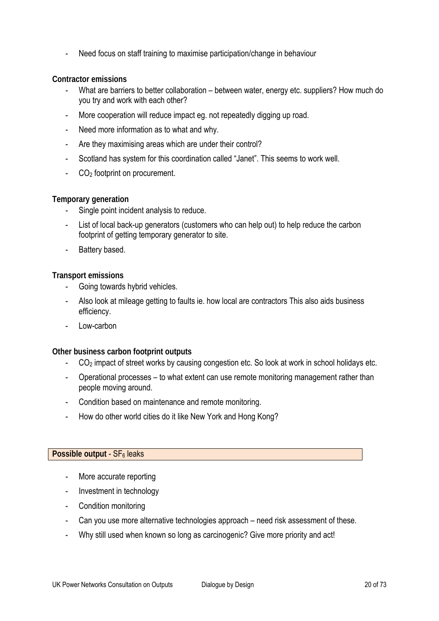Need focus on staff training to maximise participation/change in behaviour

### **Contractor emissions**

- What are barriers to better collaboration between water, energy etc. suppliers? How much do you try and work with each other?
- More cooperation will reduce impact eg. not repeatedly digging up road.
- Need more information as to what and why.
- Are they maximising areas which are under their control?
- Scotland has system for this coordination called "Janet". This seems to work well.
- $CO<sub>2</sub>$  footprint on procurement.

#### **Temporary generation**

- Single point incident analysis to reduce.
- List of local back-up generators (customers who can help out) to help reduce the carbon footprint of getting temporary generator to site.
- Battery based.

#### **Transport emissions**

- Going towards hybrid vehicles.
- Also look at mileage getting to faults ie. how local are contractors This also aids business efficiency.
- Low-carbon

#### **Other business carbon footprint outputs**

- CO<sub>2</sub> impact of street works by causing congestion etc. So look at work in school holidays etc.
- Operational processes to what extent can use remote monitoring management rather than people moving around.
- Condition based on maintenance and remote monitoring.
- How do other world cities do it like New York and Hong Kong?

#### **Possible output - SF<sub>6</sub> leaks**

- More accurate reporting
- Investment in technology
- Condition monitoring
- Can you use more alternative technologies approach need risk assessment of these.
- Why still used when known so long as carcinogenic? Give more priority and act!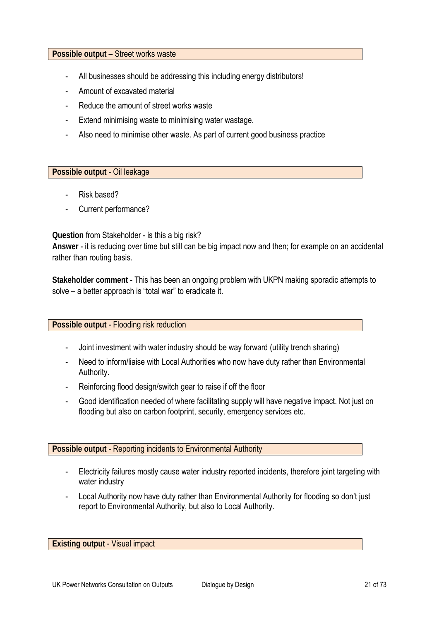#### **Possible output** – Street works waste

- All businesses should be addressing this including energy distributors!
- Amount of excavated material
- Reduce the amount of street works waste
- Extend minimising waste to minimising water wastage.
- Also need to minimise other waste. As part of current good business practice

#### **Possible output** - Oil leakage

- Risk based?
- Current performance?

#### **Question** from Stakeholder - is this a big risk?

**Answer** - it is reducing over time but still can be big impact now and then; for example on an accidental rather than routing basis.

**Stakeholder comment** - This has been an ongoing problem with UKPN making sporadic attempts to solve – a better approach is "total war" to eradicate it.

#### **Possible output** - Flooding risk reduction

- Joint investment with water industry should be way forward (utility trench sharing)
- Need to inform/liaise with Local Authorities who now have duty rather than Environmental Authority.
- Reinforcing flood design/switch gear to raise if off the floor
- Good identification needed of where facilitating supply will have negative impact. Not just on flooding but also on carbon footprint, security, emergency services etc.

#### **Possible output** - Reporting incidents to Environmental Authority

- Electricity failures mostly cause water industry reported incidents, therefore joint targeting with water industry
- Local Authority now have duty rather than Environmental Authority for flooding so don't just report to Environmental Authority, but also to Local Authority.

#### **Existing output** - Visual impact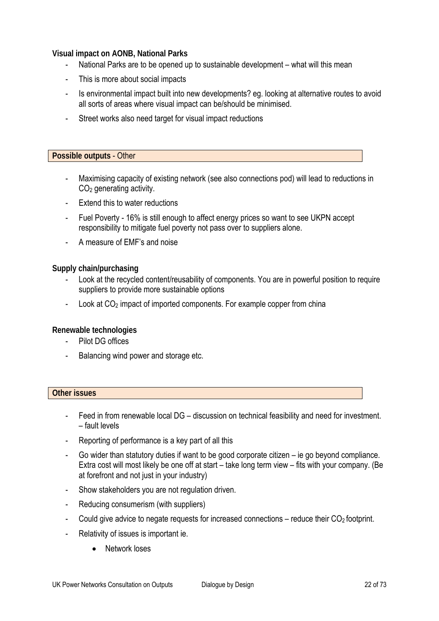### **Visual impact on AONB, National Parks**

- National Parks are to be opened up to sustainable development what will this mean
- This is more about social impacts
- Is environmental impact built into new developments? eg. looking at alternative routes to avoid all sorts of areas where visual impact can be/should be minimised.
- Street works also need target for visual impact reductions

#### **Possible outputs** - Other

- Maximising capacity of existing network (see also connections pod) will lead to reductions in CO2 generating activity.
- Extend this to water reductions
- Fuel Poverty 16% is still enough to affect energy prices so want to see UKPN accept responsibility to mitigate fuel poverty not pass over to suppliers alone.
- A measure of EMF's and noise

#### **Supply chain/purchasing**

- Look at the recycled content/reusability of components. You are in powerful position to require suppliers to provide more sustainable options
- Look at CO<sub>2</sub> impact of imported components. For example copper from china

#### **Renewable technologies**

- Pilot DG offices
- Balancing wind power and storage etc.

#### **Other issues**

- Feed in from renewable local DG discussion on technical feasibility and need for investment. – fault levels
- Reporting of performance is a key part of all this
- Go wider than statutory duties if want to be good corporate citizen  $-$  ie go beyond compliance. Extra cost will most likely be one off at start – take long term view – fits with your company. (Be at forefront and not just in your industry)
- Show stakeholders you are not regulation driven.
- Reducing consumerism (with suppliers)
- Could give advice to negate requests for increased connections reduce their  $CO<sub>2</sub>$  footprint.
- Relativity of issues is important ie.
	- Network loses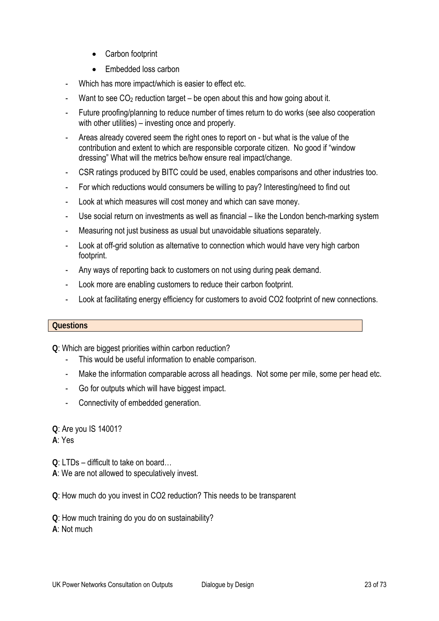- Carbon footprint
- Embedded loss carbon
- Which has more impact/which is easier to effect etc.
- Want to see  $CO<sub>2</sub>$  reduction target be open about this and how going about it.
- Future proofing/planning to reduce number of times return to do works (see also cooperation with other utilities) – investing once and properly.
- Areas already covered seem the right ones to report on but what is the value of the contribution and extent to which are responsible corporate citizen. No good if "window dressing" What will the metrics be/how ensure real impact/change.
- CSR ratings produced by BITC could be used, enables comparisons and other industries too.
- For which reductions would consumers be willing to pay? Interesting/need to find out
- Look at which measures will cost money and which can save money.
- Use social return on investments as well as financial like the London bench-marking system
- Measuring not just business as usual but unavoidable situations separately.
- Look at off-grid solution as alternative to connection which would have very high carbon footprint.
- Any ways of reporting back to customers on not using during peak demand.
- Look more are enabling customers to reduce their carbon footprint.
- Look at facilitating energy efficiency for customers to avoid CO2 footprint of new connections.

#### **Questions**

**Q**: Which are biggest priorities within carbon reduction?

- This would be useful information to enable comparison.
- Make the information comparable across all headings. Not some per mile, some per head etc.
- Go for outputs which will have biggest impact.
- Connectivity of embedded generation.

**Q**: Are you IS 14001?

**A**: Yes

**Q**: LTDs – difficult to take on board…

**A**: We are not allowed to speculatively invest.

**Q**: How much do you invest in CO2 reduction? This needs to be transparent

**Q**: How much training do you do on sustainability?

**A**: Not much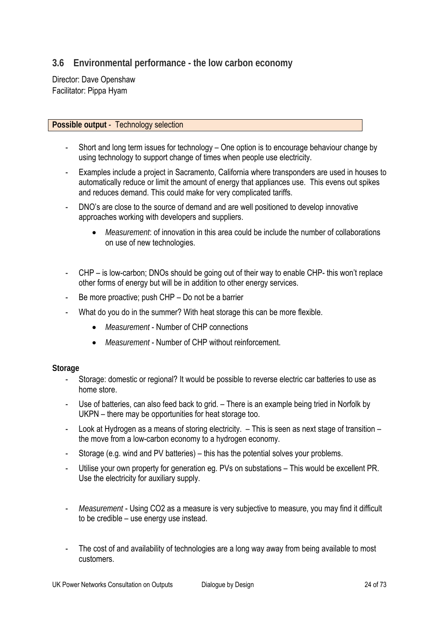# **3.6 Environmental performance - the low carbon economy**

Director: Dave Openshaw Facilitator: Pippa Hyam

#### **Possible output** - Technology selection

- Short and long term issues for technology One option is to encourage behaviour change by using technology to support change of times when people use electricity.
- Examples include a project in Sacramento, California where transponders are used in houses to automatically reduce or limit the amount of energy that appliances use. This evens out spikes and reduces demand. This could make for very complicated tariffs.
- DNO's are close to the source of demand and are well positioned to develop innovative approaches working with developers and suppliers.
	- *Measurement*: of innovation in this area could be include the number of collaborations on use of new technologies.
- CHP is low-carbon; DNOs should be going out of their way to enable CHP- this won't replace other forms of energy but will be in addition to other energy services.
- Be more proactive; push CHP Do not be a barrier
- What do you do in the summer? With heat storage this can be more flexible.
	- *Measurement* Number of CHP connections
	- *Measurement* Number of CHP without reinforcement.

#### **Storage**

- Storage: domestic or regional? It would be possible to reverse electric car batteries to use as home store.
- Use of batteries, can also feed back to grid. There is an example being tried in Norfolk by UKPN – there may be opportunities for heat storage too.
- Look at Hydrogen as a means of storing electricity. This is seen as next stage of transition the move from a low-carbon economy to a hydrogen economy.
- Storage (e.g. wind and PV batteries) this has the potential solves your problems.
- Utilise your own property for generation eg. PVs on substations This would be excellent PR. Use the electricity for auxiliary supply.
- *Measurement* Using CO2 as a measure is very subjective to measure, you may find it difficult to be credible – use energy use instead.
- The cost of and availability of technologies are a long way away from being available to most customers.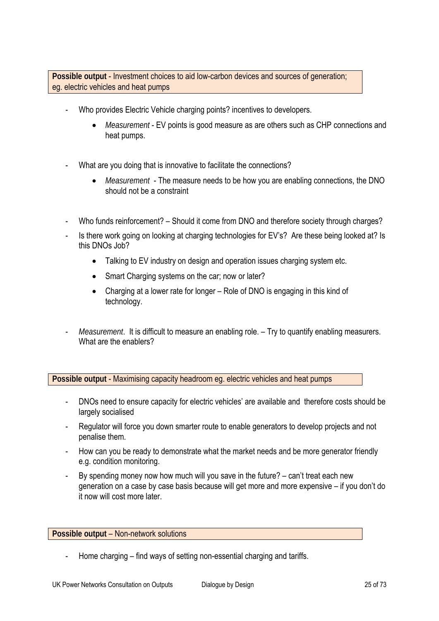**Possible output** - Investment choices to aid low-carbon devices and sources of generation; eg. electric vehicles and heat pumps

- Who provides Electric Vehicle charging points? incentives to developers.
	- *Measurement* EV points is good measure as are others such as CHP connections and heat pumps.
- What are you doing that is innovative to facilitate the connections?
	- *Measurement* The measure needs to be how you are enabling connections, the DNO should not be a constraint
- Who funds reinforcement? Should it come from DNO and therefore society through charges?
- Is there work going on looking at charging technologies for EV's? Are these being looked at? Is this DNOs Job?
	- Talking to EV industry on design and operation issues charging system etc.
	- Smart Charging systems on the car; now or later?
	- Charging at a lower rate for longer Role of DNO is engaging in this kind of technology.
- *Measurement*. It is difficult to measure an enabling role. Try to quantify enabling measurers. What are the enablers?

**Possible output** - Maximising capacity headroom eg. electric vehicles and heat pumps

- DNOs need to ensure capacity for electric vehicles' are available and therefore costs should be largely socialised
- Regulator will force you down smarter route to enable generators to develop projects and not penalise them.
- How can you be ready to demonstrate what the market needs and be more generator friendly e.g. condition monitoring.
- By spending money now how much will you save in the future? can't treat each new generation on a case by case basis because will get more and more expensive – if you don't do it now will cost more later.

#### **Possible output** – Non-network solutions

Home charging – find ways of setting non-essential charging and tariffs.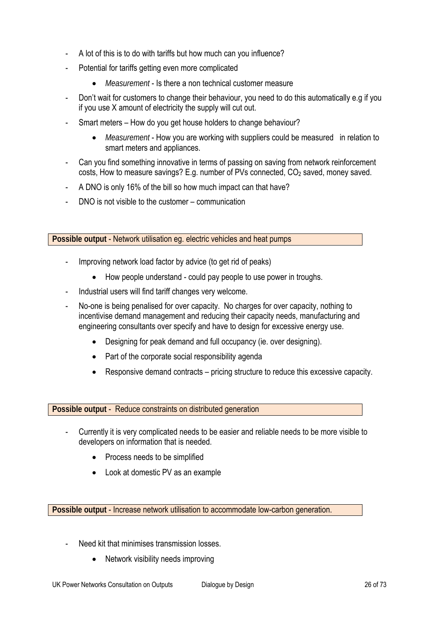- A lot of this is to do with tariffs but how much can you influence?
- Potential for tariffs getting even more complicated
	- *Measurement* Is there a non technical customer measure
- Don't wait for customers to change their behaviour, you need to do this automatically e.g if you if you use X amount of electricity the supply will cut out.
- Smart meters How do you get house holders to change behaviour?
	- *Measurement* How you are working with suppliers could be measured in relation to smart meters and appliances.
- Can you find something innovative in terms of passing on saving from network reinforcement  $costs$ , How to measure savings? E.g. number of PVs connected,  $CO<sub>2</sub>$  saved, money saved.
- A DNO is only 16% of the bill so how much impact can that have?
- DNO is not visible to the customer communication

**Possible output** - Network utilisation eg. electric vehicles and heat pumps

- Improving network load factor by advice (to get rid of peaks)
	- How people understand could pay people to use power in troughs.
- Industrial users will find tariff changes very welcome.
- No-one is being penalised for over capacity. No charges for over capacity, nothing to incentivise demand management and reducing their capacity needs, manufacturing and engineering consultants over specify and have to design for excessive energy use.
	- Designing for peak demand and full occupancy (ie. over designing).
	- Part of the corporate social responsibility agenda
	- Responsive demand contracts pricing structure to reduce this excessive capacity.

#### **Possible output** - Reduce constraints on distributed generation

- Currently it is very complicated needs to be easier and reliable needs to be more visible to developers on information that is needed.
	- Process needs to be simplified
	- Look at domestic PV as an example

**Possible output** - Increase network utilisation to accommodate low-carbon generation.

- Need kit that minimises transmission losses.
	- Network visibility needs improving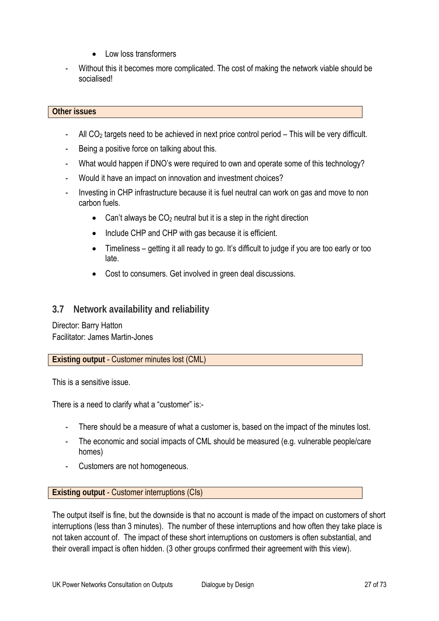- Low loss transformers
- Without this it becomes more complicated. The cost of making the network viable should be socialised!

## **Other issues**

- All  $CO<sub>2</sub>$  targets need to be achieved in next price control period This will be very difficult.
- Being a positive force on talking about this.
- What would happen if DNO's were required to own and operate some of this technology?
- Would it have an impact on innovation and investment choices?
- Investing in CHP infrastructure because it is fuel neutral can work on gas and move to non carbon fuels.
	- Can't always be  $CO<sub>2</sub>$  neutral but it is a step in the right direction
	- Include CHP and CHP with gas because it is efficient.
	- Timeliness getting it all ready to go. It's difficult to judge if you are too early or too late.
	- Cost to consumers. Get involved in green deal discussions.

## **3.7 Network availability and reliability**

Director: Barry Hatton Facilitator: James Martin-Jones

**Existing output** - Customer minutes lost (CML)

This is a sensitive issue.

There is a need to clarify what a "customer" is:-

- There should be a measure of what a customer is, based on the impact of the minutes lost.
- The economic and social impacts of CML should be measured (e.g. vulnerable people/care homes)
- Customers are not homogeneous.

**Existing output** - Customer interruptions (CIs)

The output itself is fine, but the downside is that no account is made of the impact on customers of short interruptions (less than 3 minutes). The number of these interruptions and how often they take place is not taken account of. The impact of these short interruptions on customers is often substantial, and their overall impact is often hidden. (3 other groups confirmed their agreement with this view).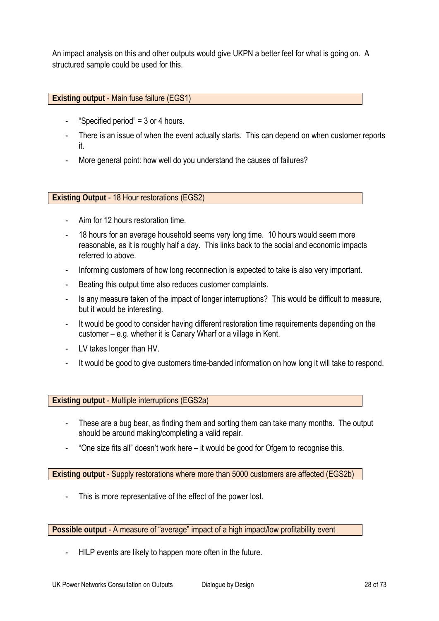An impact analysis on this and other outputs would give UKPN a better feel for what is going on. A structured sample could be used for this.

#### **Existing output** - Main fuse failure (EGS1)

- "Specified period" =  $3$  or 4 hours.
- There is an issue of when the event actually starts. This can depend on when customer reports it.
- More general point: how well do you understand the causes of failures?

**Existing Output** - 18 Hour restorations (EGS2)

- Aim for 12 hours restoration time.
- 18 hours for an average household seems very long time. 10 hours would seem more reasonable, as it is roughly half a day. This links back to the social and economic impacts referred to above.
- Informing customers of how long reconnection is expected to take is also very important.
- Beating this output time also reduces customer complaints.
- Is any measure taken of the impact of longer interruptions? This would be difficult to measure, but it would be interesting.
- It would be good to consider having different restoration time requirements depending on the customer – e.g. whether it is Canary Wharf or a village in Kent.
- LV takes longer than HV.
- It would be good to give customers time-banded information on how long it will take to respond.

**Existing output** - Multiple interruptions (EGS2a)

- These are a bug bear, as finding them and sorting them can take many months. The output should be around making/completing a valid repair.
- "One size fits all" doesn't work here it would be good for Ofgem to recognise this.

**Existing output** - Supply restorations where more than 5000 customers are affected (EGS2b)

This is more representative of the effect of the power lost.

**Possible output** - A measure of "average" impact of a high impact/low profitability event

HILP events are likely to happen more often in the future.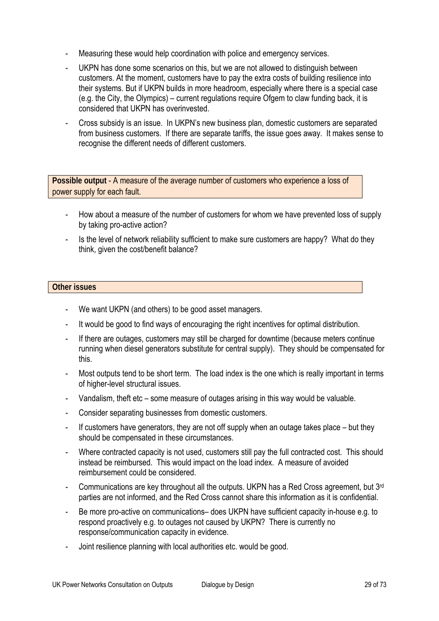- Measuring these would help coordination with police and emergency services.
- UKPN has done some scenarios on this, but we are not allowed to distinguish between customers. At the moment, customers have to pay the extra costs of building resilience into their systems. But if UKPN builds in more headroom, especially where there is a special case (e.g. the City, the Olympics) – current regulations require Ofgem to claw funding back, it is considered that UKPN has overinvested.
- Cross subsidy is an issue. In UKPN's new business plan, domestic customers are separated from business customers. If there are separate tariffs, the issue goes away. It makes sense to recognise the different needs of different customers.

**Possible output** - A measure of the average number of customers who experience a loss of power supply for each fault.

- How about a measure of the number of customers for whom we have prevented loss of supply by taking pro-active action?
- Is the level of network reliability sufficient to make sure customers are happy? What do they think, given the cost/benefit balance?

#### **Other issues**

- We want UKPN (and others) to be good asset managers.
- It would be good to find ways of encouraging the right incentives for optimal distribution.
- If there are outages, customers may still be charged for downtime (because meters continue running when diesel generators substitute for central supply). They should be compensated for this.
- Most outputs tend to be short term. The load index is the one which is really important in terms of higher-level structural issues.
- Vandalism, theft etc some measure of outages arising in this way would be valuable.
- Consider separating businesses from domestic customers.
- If customers have generators, they are not off supply when an outage takes place but they should be compensated in these circumstances.
- Where contracted capacity is not used, customers still pay the full contracted cost. This should instead be reimbursed. This would impact on the load index. A measure of avoided reimbursement could be considered.
- Communications are key throughout all the outputs. UKPN has a Red Cross agreement, but 3<sup>rd</sup> parties are not informed, and the Red Cross cannot share this information as it is confidential.
- Be more pro-active on communications– does UKPN have sufficient capacity in-house e.g. to respond proactively e.g. to outages not caused by UKPN? There is currently no response/communication capacity in evidence.
- Joint resilience planning with local authorities etc. would be good.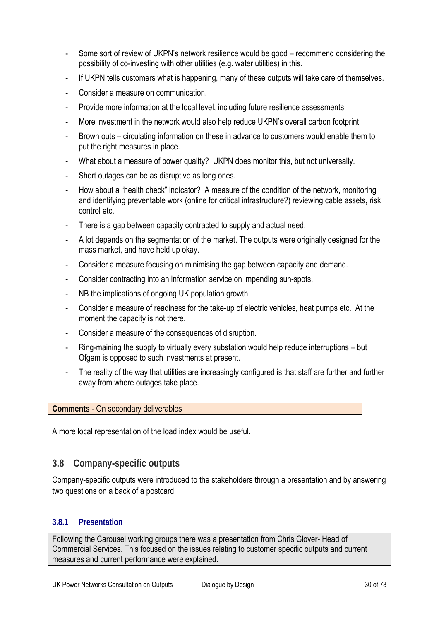- Some sort of review of UKPN's network resilience would be good recommend considering the possibility of co-investing with other utilities (e.g. water utilities) in this.
- If UKPN tells customers what is happening, many of these outputs will take care of themselves.
- Consider a measure on communication.
- Provide more information at the local level, including future resilience assessments.
- More investment in the network would also help reduce UKPN's overall carbon footprint.
- Brown outs circulating information on these in advance to customers would enable them to put the right measures in place.
- What about a measure of power quality? UKPN does monitor this, but not universally.
- Short outages can be as disruptive as long ones.
- How about a "health check" indicator? A measure of the condition of the network, monitoring and identifying preventable work (online for critical infrastructure?) reviewing cable assets, risk control etc.
- There is a gap between capacity contracted to supply and actual need.
- A lot depends on the segmentation of the market. The outputs were originally designed for the mass market, and have held up okay.
- Consider a measure focusing on minimising the gap between capacity and demand.
- Consider contracting into an information service on impending sun-spots.
- NB the implications of ongoing UK population growth.
- Consider a measure of readiness for the take-up of electric vehicles, heat pumps etc. At the moment the capacity is not there.
- Consider a measure of the consequences of disruption.
- Ring-maining the supply to virtually every substation would help reduce interruptions but Ofgem is opposed to such investments at present.
- The reality of the way that utilities are increasingly configured is that staff are further and further away from where outages take place.

#### **Comments** - On secondary deliverables

A more local representation of the load index would be useful.

## **3.8 Company-specific outputs**

Company-specific outputs were introduced to the stakeholders through a presentation and by answering two questions on a back of a postcard.

#### **3.8.1 Presentation**

Following the Carousel working groups there was a presentation from Chris Glover- Head of Commercial Services. This focused on the issues relating to customer specific outputs and current measures and current performance were explained.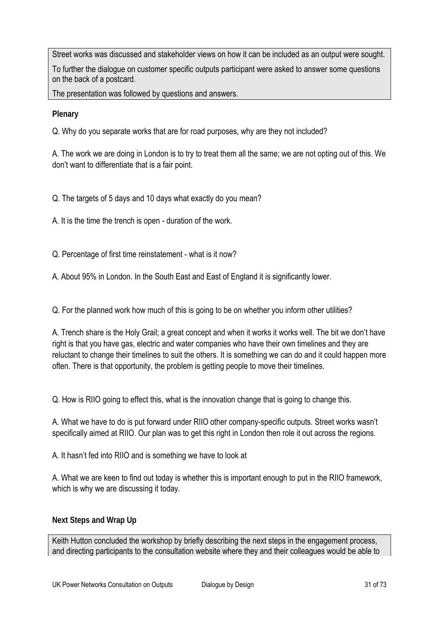Street works was discussed and stakeholder views on how it can be included as an output were sought.

To further the dialogue on customer specific outputs participant were asked to answer some questions on the back of a postcard.

The presentation was followed by questions and answers.

**Plenary**

Q. Why do you separate works that are for road purposes, why are they not included?

A. The work we are doing in London is to try to treat them all the same; we are not opting out of this. We don't want to differentiate that is a fair point.

Q. The targets of 5 days and 10 days what exactly do you mean?

A. It is the time the trench is open - duration of the work.

Q. Percentage of first time reinstatement - what is it now?

A. About 95% in London. In the South East and East of England it is significantly lower.

Q. For the planned work how much of this is going to be on whether you inform other utilities?

A. Trench share is the Holy Grail; a great concept and when it works it works well. The bit we don't have right is that you have gas, electric and water companies who have their own timelines and they are reluctant to change their timelines to suit the others. It is something we can do and it could happen more often. There is that opportunity, the problem is getting people to move their timelines.

Q. How is RIIO going to effect this, what is the innovation change that is going to change this.

A. What we have to do is put forward under RIIO other company-specific outputs. Street works wasn't specifically aimed at RIIO. Our plan was to get this right in London then role it out across the regions.

A. It hasn't fed into RIIO and is something we have to look at

A. What we are keen to find out today is whether this is important enough to put in the RIIO framework, which is why we are discussing it today.

## **Next Steps and Wrap Up**

Keith Hutton concluded the workshop by briefly describing the next steps in the engagement process, and directing participants to the consultation website where they and their colleagues would be able to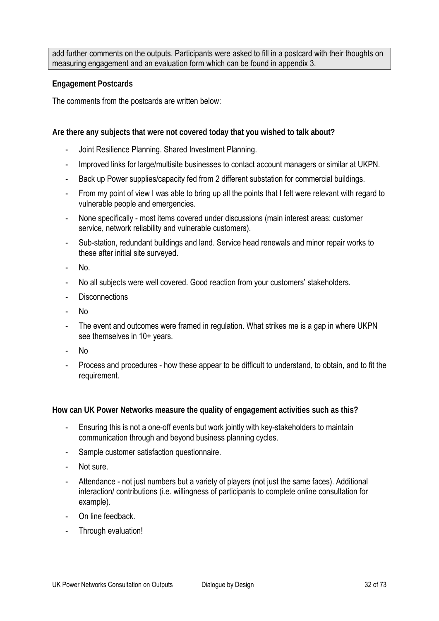add further comments on the outputs. Participants were asked to fill in a postcard with their thoughts on measuring engagement and an evaluation form which can be found in appendix 3.

#### **Engagement Postcards**

The comments from the postcards are written below:

**Are there any subjects that were not covered today that you wished to talk about?** 

- Joint Resilience Planning. Shared Investment Planning.
- Improved links for large/multisite businesses to contact account managers or similar at UKPN.
- Back up Power supplies/capacity fed from 2 different substation for commercial buildings.
- From my point of view I was able to bring up all the points that I felt were relevant with regard to vulnerable people and emergencies.
- None specifically most items covered under discussions (main interest areas: customer service, network reliability and vulnerable customers).
- Sub-station, redundant buildings and land. Service head renewals and minor repair works to these after initial site surveyed.
- No.
- No all subjects were well covered. Good reaction from your customers' stakeholders.
- **Disconnections**
- No
- The event and outcomes were framed in regulation. What strikes me is a gap in where UKPN see themselves in 10+ years.
- No
- Process and procedures how these appear to be difficult to understand, to obtain, and to fit the requirement.

#### **How can UK Power Networks measure the quality of engagement activities such as this?**

- Ensuring this is not a one-off events but work jointly with key-stakeholders to maintain communication through and beyond business planning cycles.
- Sample customer satisfaction questionnaire.
- Not sure.
- Attendance not just numbers but a variety of players (not just the same faces). Additional interaction/ contributions (i.e. willingness of participants to complete online consultation for example).
- On line feedback
- Through evaluation!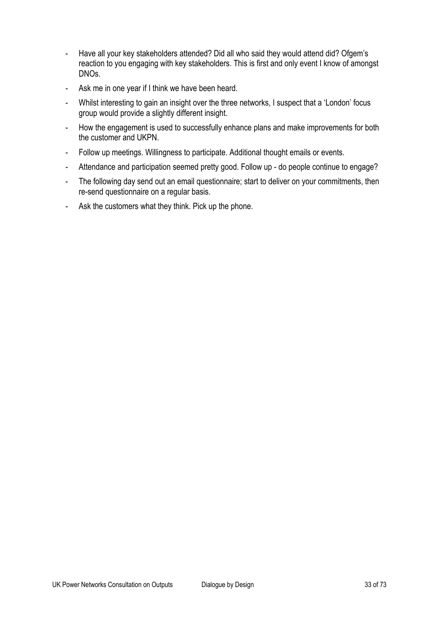- Have all your key stakeholders attended? Did all who said they would attend did? Ofgem's reaction to you engaging with key stakeholders. This is first and only event I know of amongst DNOs.
- Ask me in one year if I think we have been heard.
- Whilst interesting to gain an insight over the three networks, I suspect that a 'London' focus group would provide a slightly different insight.
- How the engagement is used to successfully enhance plans and make improvements for both the customer and UKPN.
- Follow up meetings. Willingness to participate. Additional thought emails or events.
- Attendance and participation seemed pretty good. Follow up do people continue to engage?
- The following day send out an email questionnaire; start to deliver on your commitments, then re-send questionnaire on a regular basis.
- Ask the customers what they think. Pick up the phone.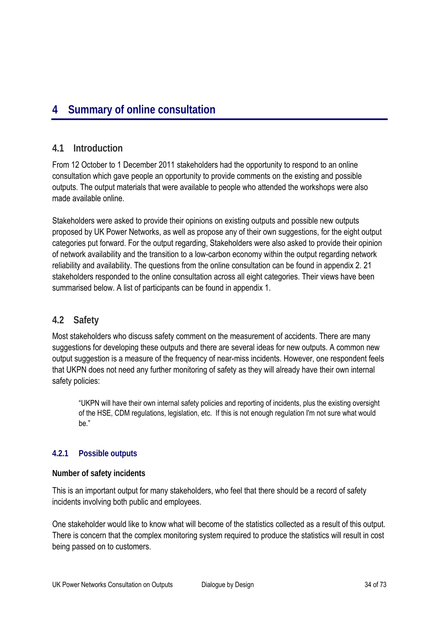# **4 Summary of online consultation**

# **4.1 Introduction**

From 12 October to 1 December 2011 stakeholders had the opportunity to respond to an online consultation which gave people an opportunity to provide comments on the existing and possible outputs. The output materials that were available to people who attended the workshops were also made available online.

Stakeholders were asked to provide their opinions on existing outputs and possible new outputs proposed by UK Power Networks, as well as propose any of their own suggestions, for the eight output categories put forward. For the output regarding, Stakeholders were also asked to provide their opinion of network availability and the transition to a low-carbon economy within the output regarding network reliability and availability. The questions from the online consultation can be found in appendix 2. 21 stakeholders responded to the online consultation across all eight categories. Their views have been summarised below. A list of participants can be found in appendix 1.

# **4.2 Safety**

Most stakeholders who discuss safety comment on the measurement of accidents. There are many suggestions for developing these outputs and there are several ideas for new outputs. A common new output suggestion is a measure of the frequency of near-miss incidents. However, one respondent feels that UKPN does not need any further monitoring of safety as they will already have their own internal safety policies:

"UKPN will have their own internal safety policies and reporting of incidents, plus the existing oversight of the HSE, CDM regulations, legislation, etc. If this is not enough regulation I'm not sure what would be."

# **4.2.1 Possible outputs**

# **Number of safety incidents**

This is an important output for many stakeholders, who feel that there should be a record of safety incidents involving both public and employees.

One stakeholder would like to know what will become of the statistics collected as a result of this output. There is concern that the complex monitoring system required to produce the statistics will result in cost being passed on to customers.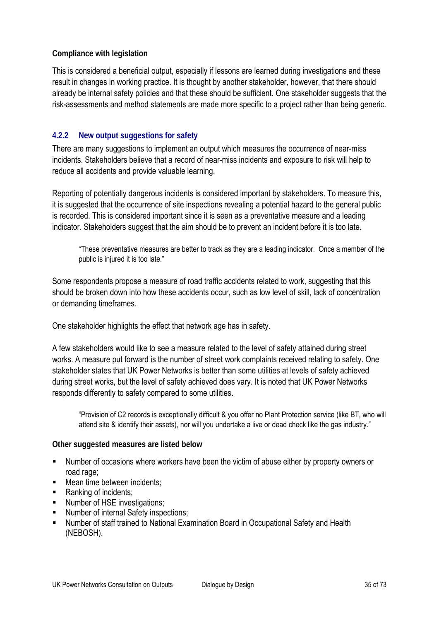## **Compliance with legislation**

This is considered a beneficial output, especially if lessons are learned during investigations and these result in changes in working practice. It is thought by another stakeholder, however, that there should already be internal safety policies and that these should be sufficient. One stakeholder suggests that the risk-assessments and method statements are made more specific to a project rather than being generic.

# **4.2.2 New output suggestions for safety**

There are many suggestions to implement an output which measures the occurrence of near-miss incidents. Stakeholders believe that a record of near-miss incidents and exposure to risk will help to reduce all accidents and provide valuable learning.

Reporting of potentially dangerous incidents is considered important by stakeholders. To measure this, it is suggested that the occurrence of site inspections revealing a potential hazard to the general public is recorded. This is considered important since it is seen as a preventative measure and a leading indicator. Stakeholders suggest that the aim should be to prevent an incident before it is too late.

"These preventative measures are better to track as they are a leading indicator. Once a member of the public is injured it is too late."

Some respondents propose a measure of road traffic accidents related to work, suggesting that this should be broken down into how these accidents occur, such as low level of skill, lack of concentration or demanding timeframes.

One stakeholder highlights the effect that network age has in safety.

A few stakeholders would like to see a measure related to the level of safety attained during street works. A measure put forward is the number of street work complaints received relating to safety. One stakeholder states that UK Power Networks is better than some utilities at levels of safety achieved during street works, but the level of safety achieved does vary. It is noted that UK Power Networks responds differently to safety compared to some utilities.

"Provision of C2 records is exceptionally difficult & you offer no Plant Protection service (like BT, who will attend site & identify their assets), nor will you undertake a live or dead check like the gas industry."

## **Other suggested measures are listed below**

- Number of occasions where workers have been the victim of abuse either by property owners or road rage;
- **Mean time between incidents:**
- Ranking of incidents:
- Number of HSE investigations;
- Number of internal Safety inspections:
- Number of staff trained to National Examination Board in Occupational Safety and Health (NEBOSH).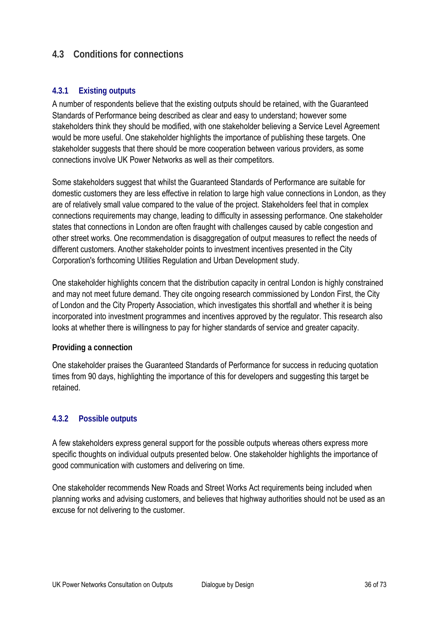# **4.3 Conditions for connections**

# **4.3.1 Existing outputs**

A number of respondents believe that the existing outputs should be retained, with the Guaranteed Standards of Performance being described as clear and easy to understand; however some stakeholders think they should be modified, with one stakeholder believing a Service Level Agreement would be more useful. One stakeholder highlights the importance of publishing these targets. One stakeholder suggests that there should be more cooperation between various providers, as some connections involve UK Power Networks as well as their competitors.

Some stakeholders suggest that whilst the Guaranteed Standards of Performance are suitable for domestic customers they are less effective in relation to large high value connections in London, as they are of relatively small value compared to the value of the project. Stakeholders feel that in complex connections requirements may change, leading to difficulty in assessing performance. One stakeholder states that connections in London are often fraught with challenges caused by cable congestion and other street works. One recommendation is disaggregation of output measures to reflect the needs of different customers. Another stakeholder points to investment incentives presented in the City Corporation's forthcoming Utilities Regulation and Urban Development study.

One stakeholder highlights concern that the distribution capacity in central London is highly constrained and may not meet future demand. They cite ongoing research commissioned by London First, the City of London and the City Property Association, which investigates this shortfall and whether it is being incorporated into investment programmes and incentives approved by the regulator. This research also looks at whether there is willingness to pay for higher standards of service and greater capacity.

## **Providing a connection**

One stakeholder praises the Guaranteed Standards of Performance for success in reducing quotation times from 90 days, highlighting the importance of this for developers and suggesting this target be retained.

## **4.3.2 Possible outputs**

A few stakeholders express general support for the possible outputs whereas others express more specific thoughts on individual outputs presented below. One stakeholder highlights the importance of good communication with customers and delivering on time.

One stakeholder recommends New Roads and Street Works Act requirements being included when planning works and advising customers, and believes that highway authorities should not be used as an excuse for not delivering to the customer.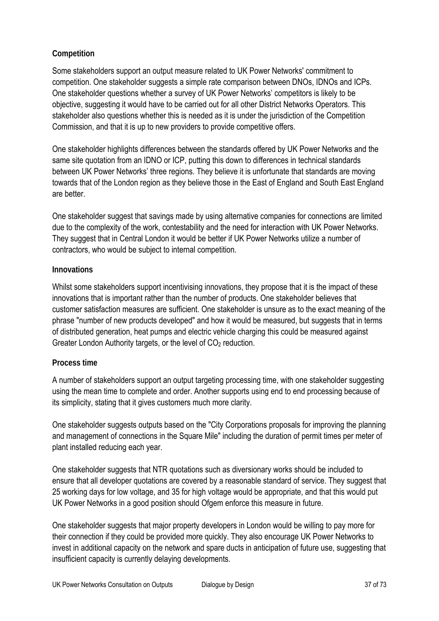## **Competition**

Some stakeholders support an output measure related to UK Power Networks' commitment to competition. One stakeholder suggests a simple rate comparison between DNOs, IDNOs and ICPs. One stakeholder questions whether a survey of UK Power Networks' competitors is likely to be objective, suggesting it would have to be carried out for all other District Networks Operators. This stakeholder also questions whether this is needed as it is under the jurisdiction of the Competition Commission, and that it is up to new providers to provide competitive offers.

One stakeholder highlights differences between the standards offered by UK Power Networks and the same site quotation from an IDNO or ICP, putting this down to differences in technical standards between UK Power Networks' three regions. They believe it is unfortunate that standards are moving towards that of the London region as they believe those in the East of England and South East England are better.

One stakeholder suggest that savings made by using alternative companies for connections are limited due to the complexity of the work, contestability and the need for interaction with UK Power Networks. They suggest that in Central London it would be better if UK Power Networks utilize a number of contractors, who would be subject to internal competition.

#### **Innovations**

Whilst some stakeholders support incentivising innovations, they propose that it is the impact of these innovations that is important rather than the number of products. One stakeholder believes that customer satisfaction measures are sufficient. One stakeholder is unsure as to the exact meaning of the phrase "number of new products developed" and how it would be measured, but suggests that in terms of distributed generation, heat pumps and electric vehicle charging this could be measured against Greater London Authority targets, or the level of CO<sub>2</sub> reduction.

## **Process time**

A number of stakeholders support an output targeting processing time, with one stakeholder suggesting using the mean time to complete and order. Another supports using end to end processing because of its simplicity, stating that it gives customers much more clarity.

One stakeholder suggests outputs based on the "City Corporations proposals for improving the planning and management of connections in the Square Mile" including the duration of permit times per meter of plant installed reducing each year.

One stakeholder suggests that NTR quotations such as diversionary works should be included to ensure that all developer quotations are covered by a reasonable standard of service. They suggest that 25 working days for low voltage, and 35 for high voltage would be appropriate, and that this would put UK Power Networks in a good position should Ofgem enforce this measure in future.

One stakeholder suggests that major property developers in London would be willing to pay more for their connection if they could be provided more quickly. They also encourage UK Power Networks to invest in additional capacity on the network and spare ducts in anticipation of future use, suggesting that insufficient capacity is currently delaying developments.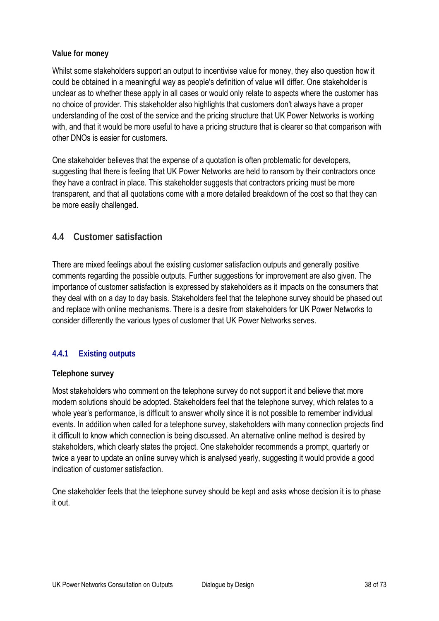#### **Value for money**

Whilst some stakeholders support an output to incentivise value for money, they also question how it could be obtained in a meaningful way as people's definition of value will differ. One stakeholder is unclear as to whether these apply in all cases or would only relate to aspects where the customer has no choice of provider. This stakeholder also highlights that customers don't always have a proper understanding of the cost of the service and the pricing structure that UK Power Networks is working with, and that it would be more useful to have a pricing structure that is clearer so that comparison with other DNOs is easier for customers.

One stakeholder believes that the expense of a quotation is often problematic for developers, suggesting that there is feeling that UK Power Networks are held to ransom by their contractors once they have a contract in place. This stakeholder suggests that contractors pricing must be more transparent, and that all quotations come with a more detailed breakdown of the cost so that they can be more easily challenged.

# **4.4 Customer satisfaction**

There are mixed feelings about the existing customer satisfaction outputs and generally positive comments regarding the possible outputs. Further suggestions for improvement are also given. The importance of customer satisfaction is expressed by stakeholders as it impacts on the consumers that they deal with on a day to day basis. Stakeholders feel that the telephone survey should be phased out and replace with online mechanisms. There is a desire from stakeholders for UK Power Networks to consider differently the various types of customer that UK Power Networks serves.

## **4.4.1 Existing outputs**

#### **Telephone survey**

Most stakeholders who comment on the telephone survey do not support it and believe that more modern solutions should be adopted. Stakeholders feel that the telephone survey, which relates to a whole year's performance, is difficult to answer wholly since it is not possible to remember individual events. In addition when called for a telephone survey, stakeholders with many connection projects find it difficult to know which connection is being discussed. An alternative online method is desired by stakeholders, which clearly states the project. One stakeholder recommends a prompt, quarterly or twice a year to update an online survey which is analysed yearly, suggesting it would provide a good indication of customer satisfaction.

One stakeholder feels that the telephone survey should be kept and asks whose decision it is to phase it out.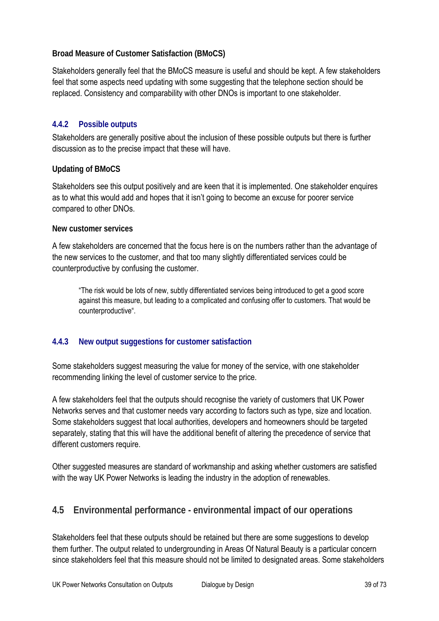#### **Broad Measure of Customer Satisfaction (BMoCS)**

Stakeholders generally feel that the BMoCS measure is useful and should be kept. A few stakeholders feel that some aspects need updating with some suggesting that the telephone section should be replaced. Consistency and comparability with other DNOs is important to one stakeholder.

## **4.4.2 Possible outputs**

Stakeholders are generally positive about the inclusion of these possible outputs but there is further discussion as to the precise impact that these will have.

## **Updating of BMoCS**

Stakeholders see this output positively and are keen that it is implemented. One stakeholder enquires as to what this would add and hopes that it isn't going to become an excuse for poorer service compared to other DNOs.

#### **New customer services**

A few stakeholders are concerned that the focus here is on the numbers rather than the advantage of the new services to the customer, and that too many slightly differentiated services could be counterproductive by confusing the customer.

"The risk would be lots of new, subtly differentiated services being introduced to get a good score against this measure, but leading to a complicated and confusing offer to customers. That would be counterproductive".

## **4.4.3 New output suggestions for customer satisfaction**

Some stakeholders suggest measuring the value for money of the service, with one stakeholder recommending linking the level of customer service to the price.

A few stakeholders feel that the outputs should recognise the variety of customers that UK Power Networks serves and that customer needs vary according to factors such as type, size and location. Some stakeholders suggest that local authorities, developers and homeowners should be targeted separately, stating that this will have the additional benefit of altering the precedence of service that different customers require.

Other suggested measures are standard of workmanship and asking whether customers are satisfied with the way UK Power Networks is leading the industry in the adoption of renewables.

# **4.5 Environmental performance - environmental impact of our operations**

Stakeholders feel that these outputs should be retained but there are some suggestions to develop them further. The output related to undergrounding in Areas Of Natural Beauty is a particular concern since stakeholders feel that this measure should not be limited to designated areas. Some stakeholders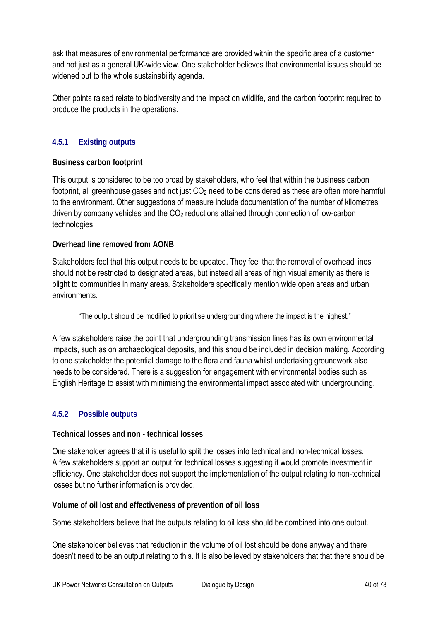ask that measures of environmental performance are provided within the specific area of a customer and not just as a general UK-wide view. One stakeholder believes that environmental issues should be widened out to the whole sustainability agenda.

Other points raised relate to biodiversity and the impact on wildlife, and the carbon footprint required to produce the products in the operations.

# **4.5.1 Existing outputs**

## **Business carbon footprint**

This output is considered to be too broad by stakeholders, who feel that within the business carbon footprint, all greenhouse gases and not just  $CO<sub>2</sub>$  need to be considered as these are often more harmful to the environment. Other suggestions of measure include documentation of the number of kilometres driven by company vehicles and the CO2 reductions attained through connection of low-carbon technologies.

## **Overhead line removed from AONB**

Stakeholders feel that this output needs to be updated. They feel that the removal of overhead lines should not be restricted to designated areas, but instead all areas of high visual amenity as there is blight to communities in many areas. Stakeholders specifically mention wide open areas and urban environments.

"The output should be modified to prioritise undergrounding where the impact is the highest."

A few stakeholders raise the point that undergrounding transmission lines has its own environmental impacts, such as on archaeological deposits, and this should be included in decision making. According to one stakeholder the potential damage to the flora and fauna whilst undertaking groundwork also needs to be considered. There is a suggestion for engagement with environmental bodies such as English Heritage to assist with minimising the environmental impact associated with undergrounding.

## **4.5.2 Possible outputs**

#### **Technical losses and non - technical losses**

One stakeholder agrees that it is useful to split the losses into technical and non-technical losses. A few stakeholders support an output for technical losses suggesting it would promote investment in efficiency. One stakeholder does not support the implementation of the output relating to non-technical losses but no further information is provided.

**Volume of oil lost and effectiveness of prevention of oil loss** 

Some stakeholders believe that the outputs relating to oil loss should be combined into one output.

One stakeholder believes that reduction in the volume of oil lost should be done anyway and there doesn't need to be an output relating to this. It is also believed by stakeholders that that there should be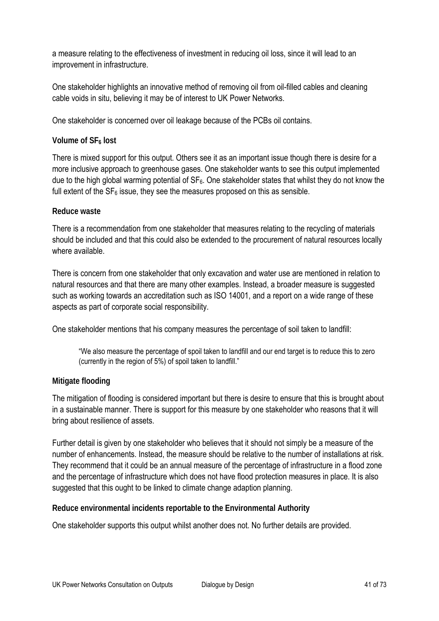a measure relating to the effectiveness of investment in reducing oil loss, since it will lead to an improvement in infrastructure.

One stakeholder highlights an innovative method of removing oil from oil-filled cables and cleaning cable voids in situ, believing it may be of interest to UK Power Networks.

One stakeholder is concerned over oil leakage because of the PCBs oil contains.

#### **Volume of SF<sub>6</sub> lost**

There is mixed support for this output. Others see it as an important issue though there is desire for a more inclusive approach to greenhouse gases. One stakeholder wants to see this output implemented due to the high global warming potential of  $SF<sub>6</sub>$ . One stakeholder states that whilst they do not know the full extent of the  $SF<sub>6</sub>$  issue, they see the measures proposed on this as sensible.

#### **Reduce waste**

There is a recommendation from one stakeholder that measures relating to the recycling of materials should be included and that this could also be extended to the procurement of natural resources locally where available.

There is concern from one stakeholder that only excavation and water use are mentioned in relation to natural resources and that there are many other examples. Instead, a broader measure is suggested such as working towards an accreditation such as ISO 14001, and a report on a wide range of these aspects as part of corporate social responsibility.

One stakeholder mentions that his company measures the percentage of soil taken to landfill:

"We also measure the percentage of spoil taken to landfill and our end target is to reduce this to zero (currently in the region of 5%) of spoil taken to landfill."

## **Mitigate flooding**

The mitigation of flooding is considered important but there is desire to ensure that this is brought about in a sustainable manner. There is support for this measure by one stakeholder who reasons that it will bring about resilience of assets.

Further detail is given by one stakeholder who believes that it should not simply be a measure of the number of enhancements. Instead, the measure should be relative to the number of installations at risk. They recommend that it could be an annual measure of the percentage of infrastructure in a flood zone and the percentage of infrastructure which does not have flood protection measures in place. It is also suggested that this ought to be linked to climate change adaption planning.

#### **Reduce environmental incidents reportable to the Environmental Authority**

One stakeholder supports this output whilst another does not. No further details are provided.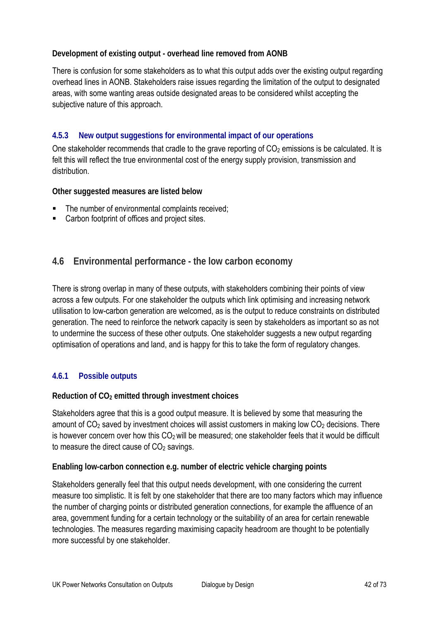## **Development of existing output - overhead line removed from AONB**

There is confusion for some stakeholders as to what this output adds over the existing output regarding overhead lines in AONB. Stakeholders raise issues regarding the limitation of the output to designated areas, with some wanting areas outside designated areas to be considered whilst accepting the subjective nature of this approach.

# **4.5.3 New output suggestions for environmental impact of our operations**

One stakeholder recommends that cradle to the grave reporting of  $CO<sub>2</sub>$  emissions is be calculated. It is felt this will reflect the true environmental cost of the energy supply provision, transmission and distribution.

**Other suggested measures are listed below** 

- The number of environmental complaints received;
- Carbon footprint of offices and project sites.

# **4.6 Environmental performance - the low carbon economy**

There is strong overlap in many of these outputs, with stakeholders combining their points of view across a few outputs. For one stakeholder the outputs which link optimising and increasing network utilisation to low-carbon generation are welcomed, as is the output to reduce constraints on distributed generation. The need to reinforce the network capacity is seen by stakeholders as important so as not to undermine the success of these other outputs. One stakeholder suggests a new output regarding optimisation of operations and land, and is happy for this to take the form of regulatory changes.

## **4.6.1 Possible outputs**

#### **Reduction of CO2 emitted through investment choices**

Stakeholders agree that this is a good output measure. It is believed by some that measuring the amount of  $CO<sub>2</sub>$  saved by investment choices will assist customers in making low  $CO<sub>2</sub>$  decisions. There is however concern over how this  $CO<sub>2</sub>$  will be measured; one stakeholder feels that it would be difficult to measure the direct cause of  $CO<sub>2</sub>$  savings.

#### **Enabling low-carbon connection e.g. number of electric vehicle charging points**

Stakeholders generally feel that this output needs development, with one considering the current measure too simplistic. It is felt by one stakeholder that there are too many factors which may influence the number of charging points or distributed generation connections, for example the affluence of an area, government funding for a certain technology or the suitability of an area for certain renewable technologies. The measures regarding maximising capacity headroom are thought to be potentially more successful by one stakeholder.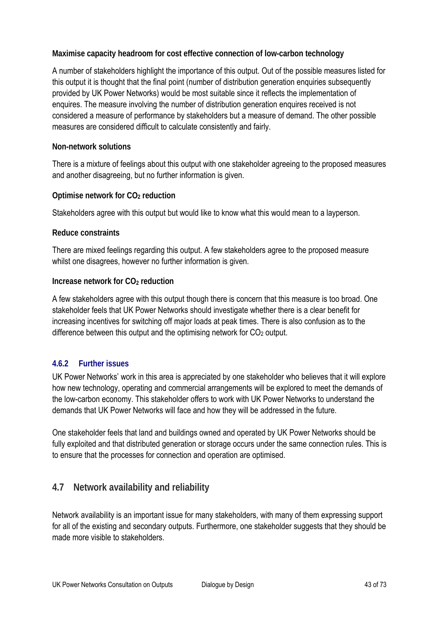**Maximise capacity headroom for cost effective connection of low-carbon technology** 

A number of stakeholders highlight the importance of this output. Out of the possible measures listed for this output it is thought that the final point (number of distribution generation enquiries subsequently provided by UK Power Networks) would be most suitable since it reflects the implementation of enquires. The measure involving the number of distribution generation enquires received is not considered a measure of performance by stakeholders but a measure of demand. The other possible measures are considered difficult to calculate consistently and fairly.

## **Non-network solutions**

There is a mixture of feelings about this output with one stakeholder agreeing to the proposed measures and another disagreeing, but no further information is given.

**Optimise network for CO2 reduction** 

Stakeholders agree with this output but would like to know what this would mean to a layperson.

#### **Reduce constraints**

There are mixed feelings regarding this output. A few stakeholders agree to the proposed measure whilst one disagrees, however no further information is given.

## **Increase network for CO<sub>2</sub> reduction**

A few stakeholders agree with this output though there is concern that this measure is too broad. One stakeholder feels that UK Power Networks should investigate whether there is a clear benefit for increasing incentives for switching off major loads at peak times. There is also confusion as to the difference between this output and the optimising network for  $CO<sub>2</sub>$  output.

## **4.6.2 Further issues**

UK Power Networks' work in this area is appreciated by one stakeholder who believes that it will explore how new technology, operating and commercial arrangements will be explored to meet the demands of the low-carbon economy. This stakeholder offers to work with UK Power Networks to understand the demands that UK Power Networks will face and how they will be addressed in the future.

One stakeholder feels that land and buildings owned and operated by UK Power Networks should be fully exploited and that distributed generation or storage occurs under the same connection rules. This is to ensure that the processes for connection and operation are optimised.

# **4.7 Network availability and reliability**

Network availability is an important issue for many stakeholders, with many of them expressing support for all of the existing and secondary outputs. Furthermore, one stakeholder suggests that they should be made more visible to stakeholders.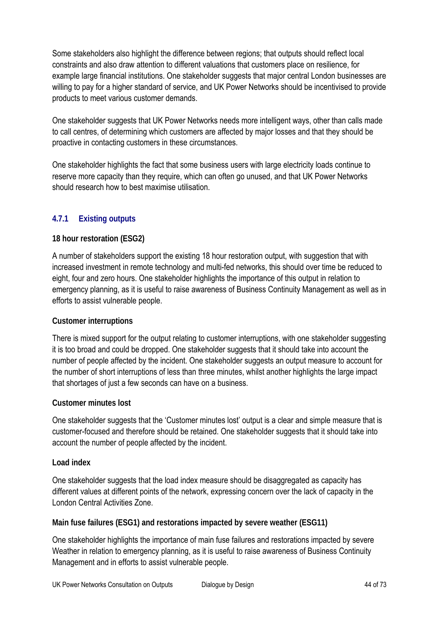Some stakeholders also highlight the difference between regions; that outputs should reflect local constraints and also draw attention to different valuations that customers place on resilience, for example large financial institutions. One stakeholder suggests that major central London businesses are willing to pay for a higher standard of service, and UK Power Networks should be incentivised to provide products to meet various customer demands.

One stakeholder suggests that UK Power Networks needs more intelligent ways, other than calls made to call centres, of determining which customers are affected by major losses and that they should be proactive in contacting customers in these circumstances.

One stakeholder highlights the fact that some business users with large electricity loads continue to reserve more capacity than they require, which can often go unused, and that UK Power Networks should research how to best maximise utilisation.

# **4.7.1 Existing outputs**

## **18 hour restoration (ESG2)**

A number of stakeholders support the existing 18 hour restoration output, with suggestion that with increased investment in remote technology and multi-fed networks, this should over time be reduced to eight, four and zero hours. One stakeholder highlights the importance of this output in relation to emergency planning, as it is useful to raise awareness of Business Continuity Management as well as in efforts to assist vulnerable people.

#### **Customer interruptions**

There is mixed support for the output relating to customer interruptions, with one stakeholder suggesting it is too broad and could be dropped. One stakeholder suggests that it should take into account the number of people affected by the incident. One stakeholder suggests an output measure to account for the number of short interruptions of less than three minutes, whilst another highlights the large impact that shortages of just a few seconds can have on a business.

#### **Customer minutes lost**

One stakeholder suggests that the 'Customer minutes lost' output is a clear and simple measure that is customer-focused and therefore should be retained. One stakeholder suggests that it should take into account the number of people affected by the incident.

#### **Load index**

One stakeholder suggests that the load index measure should be disaggregated as capacity has different values at different points of the network, expressing concern over the lack of capacity in the London Central Activities Zone.

#### **Main fuse failures (ESG1) and restorations impacted by severe weather (ESG11)**

One stakeholder highlights the importance of main fuse failures and restorations impacted by severe Weather in relation to emergency planning, as it is useful to raise awareness of Business Continuity Management and in efforts to assist vulnerable people.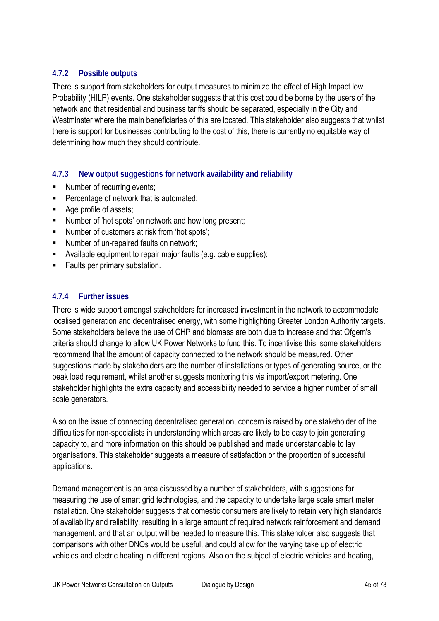## **4.7.2 Possible outputs**

There is support from stakeholders for output measures to minimize the effect of High Impact low Probability (HILP) events. One stakeholder suggests that this cost could be borne by the users of the network and that residential and business tariffs should be separated, especially in the City and Westminster where the main beneficiaries of this are located. This stakeholder also suggests that whilst there is support for businesses contributing to the cost of this, there is currently no equitable way of determining how much they should contribute.

# **4.7.3 New output suggestions for network availability and reliability**

- Number of recurring events;
- **Percentage of network that is automated;**
- Age profile of assets:
- Number of 'hot spots' on network and how long present;
- Number of customers at risk from 'hot spots':
- Number of un-repaired faults on network;
- Available equipment to repair major faults (e.g. cable supplies);
- **Faults per primary substation.**

## **4.7.4 Further issues**

There is wide support amongst stakeholders for increased investment in the network to accommodate localised generation and decentralised energy, with some highlighting Greater London Authority targets. Some stakeholders believe the use of CHP and biomass are both due to increase and that Ofgem's criteria should change to allow UK Power Networks to fund this. To incentivise this, some stakeholders recommend that the amount of capacity connected to the network should be measured. Other suggestions made by stakeholders are the number of installations or types of generating source, or the peak load requirement, whilst another suggests monitoring this via import/export metering. One stakeholder highlights the extra capacity and accessibility needed to service a higher number of small scale generators.

Also on the issue of connecting decentralised generation, concern is raised by one stakeholder of the difficulties for non-specialists in understanding which areas are likely to be easy to join generating capacity to, and more information on this should be published and made understandable to lay organisations. This stakeholder suggests a measure of satisfaction or the proportion of successful applications.

Demand management is an area discussed by a number of stakeholders, with suggestions for measuring the use of smart grid technologies, and the capacity to undertake large scale smart meter installation. One stakeholder suggests that domestic consumers are likely to retain very high standards of availability and reliability, resulting in a large amount of required network reinforcement and demand management, and that an output will be needed to measure this. This stakeholder also suggests that comparisons with other DNOs would be useful, and could allow for the varying take up of electric vehicles and electric heating in different regions. Also on the subject of electric vehicles and heating,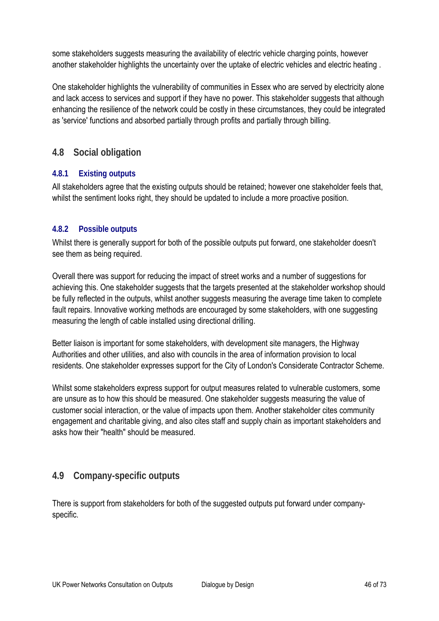some stakeholders suggests measuring the availability of electric vehicle charging points, however another stakeholder highlights the uncertainty over the uptake of electric vehicles and electric heating .

One stakeholder highlights the vulnerability of communities in Essex who are served by electricity alone and lack access to services and support if they have no power. This stakeholder suggests that although enhancing the resilience of the network could be costly in these circumstances, they could be integrated as 'service' functions and absorbed partially through profits and partially through billing.

# **4.8 Social obligation**

## **4.8.1 Existing outputs**

All stakeholders agree that the existing outputs should be retained; however one stakeholder feels that, whilst the sentiment looks right, they should be updated to include a more proactive position.

#### **4.8.2 Possible outputs**

Whilst there is generally support for both of the possible outputs put forward, one stakeholder doesn't see them as being required.

Overall there was support for reducing the impact of street works and a number of suggestions for achieving this. One stakeholder suggests that the targets presented at the stakeholder workshop should be fully reflected in the outputs, whilst another suggests measuring the average time taken to complete fault repairs. Innovative working methods are encouraged by some stakeholders, with one suggesting measuring the length of cable installed using directional drilling.

Better liaison is important for some stakeholders, with development site managers, the Highway Authorities and other utilities, and also with councils in the area of information provision to local residents. One stakeholder expresses support for the City of London's Considerate Contractor Scheme.

Whilst some stakeholders express support for output measures related to vulnerable customers, some are unsure as to how this should be measured. One stakeholder suggests measuring the value of customer social interaction, or the value of impacts upon them. Another stakeholder cites community engagement and charitable giving, and also cites staff and supply chain as important stakeholders and asks how their "health" should be measured.

# **4.9 Company-specific outputs**

There is support from stakeholders for both of the suggested outputs put forward under companyspecific.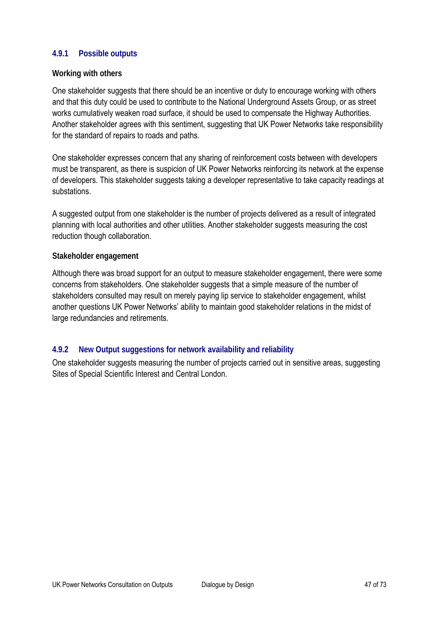## **4.9.1 Possible outputs**

#### **Working with others**

One stakeholder suggests that there should be an incentive or duty to encourage working with others and that this duty could be used to contribute to the National Underground Assets Group, or as street works cumulatively weaken road surface, it should be used to compensate the Highway Authorities. Another stakeholder agrees with this sentiment, suggesting that UK Power Networks take responsibility for the standard of repairs to roads and paths.

One stakeholder expresses concern that any sharing of reinforcement costs between with developers must be transparent, as there is suspicion of UK Power Networks reinforcing its network at the expense of developers. This stakeholder suggests taking a developer representative to take capacity readings at substations.

A suggested output from one stakeholder is the number of projects delivered as a result of integrated planning with local authorities and other utilities. Another stakeholder suggests measuring the cost reduction though collaboration.

#### **Stakeholder engagement**

Although there was broad support for an output to measure stakeholder engagement, there were some concerns from stakeholders. One stakeholder suggests that a simple measure of the number of stakeholders consulted may result on merely paying lip service to stakeholder engagement, whilst another questions UK Power Networks' ability to maintain good stakeholder relations in the midst of large redundancies and retirements.

#### **4.9.2 New Output suggestions for network availability and reliability**

One stakeholder suggests measuring the number of projects carried out in sensitive areas, suggesting Sites of Special Scientific Interest and Central London.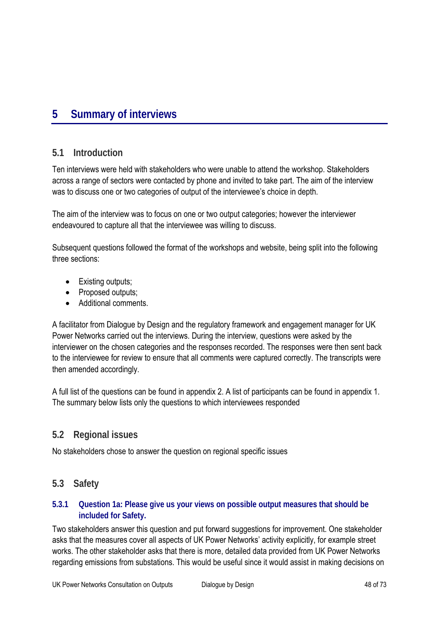# **5 Summary of interviews**

## **5.1 Introduction**

Ten interviews were held with stakeholders who were unable to attend the workshop. Stakeholders across a range of sectors were contacted by phone and invited to take part. The aim of the interview was to discuss one or two categories of output of the interviewee's choice in depth.

The aim of the interview was to focus on one or two output categories; however the interviewer endeavoured to capture all that the interviewee was willing to discuss.

Subsequent questions followed the format of the workshops and website, being split into the following three sections:

- Existing outputs;
- Proposed outputs;
- Additional comments.

A facilitator from Dialogue by Design and the regulatory framework and engagement manager for UK Power Networks carried out the interviews. During the interview, questions were asked by the interviewer on the chosen categories and the responses recorded. The responses were then sent back to the interviewee for review to ensure that all comments were captured correctly. The transcripts were then amended accordingly.

A full list of the questions can be found in appendix 2. A list of participants can be found in appendix 1. The summary below lists only the questions to which interviewees responded

# **5.2 Regional issues**

No stakeholders chose to answer the question on regional specific issues

# **5.3 Safety**

## **5.3.1 Question 1a: Please give us your views on possible output measures that should be included for Safety.**

Two stakeholders answer this question and put forward suggestions for improvement. One stakeholder asks that the measures cover all aspects of UK Power Networks' activity explicitly, for example street works. The other stakeholder asks that there is more, detailed data provided from UK Power Networks regarding emissions from substations. This would be useful since it would assist in making decisions on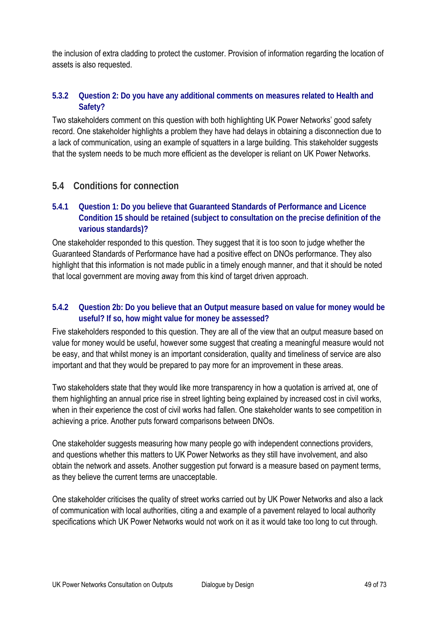the inclusion of extra cladding to protect the customer. Provision of information regarding the location of assets is also requested.

## **5.3.2 Question 2: Do you have any additional comments on measures related to Health and Safety?**

Two stakeholders comment on this question with both highlighting UK Power Networks' good safety record. One stakeholder highlights a problem they have had delays in obtaining a disconnection due to a lack of communication, using an example of squatters in a large building. This stakeholder suggests that the system needs to be much more efficient as the developer is reliant on UK Power Networks.

# **5.4 Conditions for connection**

## **5.4.1 Question 1: Do you believe that Guaranteed Standards of Performance and Licence Condition 15 should be retained (subject to consultation on the precise definition of the various standards)?**

One stakeholder responded to this question. They suggest that it is too soon to judge whether the Guaranteed Standards of Performance have had a positive effect on DNOs performance. They also highlight that this information is not made public in a timely enough manner, and that it should be noted that local government are moving away from this kind of target driven approach.

## **5.4.2 Question 2b: Do you believe that an Output measure based on value for money would be useful? If so, how might value for money be assessed?**

Five stakeholders responded to this question. They are all of the view that an output measure based on value for money would be useful, however some suggest that creating a meaningful measure would not be easy, and that whilst money is an important consideration, quality and timeliness of service are also important and that they would be prepared to pay more for an improvement in these areas.

Two stakeholders state that they would like more transparency in how a quotation is arrived at, one of them highlighting an annual price rise in street lighting being explained by increased cost in civil works, when in their experience the cost of civil works had fallen. One stakeholder wants to see competition in achieving a price. Another puts forward comparisons between DNOs.

One stakeholder suggests measuring how many people go with independent connections providers, and questions whether this matters to UK Power Networks as they still have involvement, and also obtain the network and assets. Another suggestion put forward is a measure based on payment terms, as they believe the current terms are unacceptable.

One stakeholder criticises the quality of street works carried out by UK Power Networks and also a lack of communication with local authorities, citing a and example of a pavement relayed to local authority specifications which UK Power Networks would not work on it as it would take too long to cut through.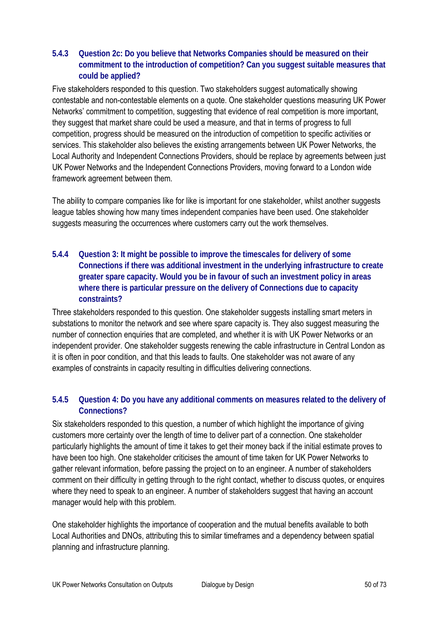## **5.4.3 Question 2c: Do you believe that Networks Companies should be measured on their commitment to the introduction of competition? Can you suggest suitable measures that could be applied?**

Five stakeholders responded to this question. Two stakeholders suggest automatically showing contestable and non-contestable elements on a quote. One stakeholder questions measuring UK Power Networks' commitment to competition, suggesting that evidence of real competition is more important, they suggest that market share could be used a measure, and that in terms of progress to full competition, progress should be measured on the introduction of competition to specific activities or services. This stakeholder also believes the existing arrangements between UK Power Networks, the Local Authority and Independent Connections Providers, should be replace by agreements between just UK Power Networks and the Independent Connections Providers, moving forward to a London wide framework agreement between them.

The ability to compare companies like for like is important for one stakeholder, whilst another suggests league tables showing how many times independent companies have been used. One stakeholder suggests measuring the occurrences where customers carry out the work themselves.

**5.4.4 Question 3: It might be possible to improve the timescales for delivery of some Connections if there was additional investment in the underlying infrastructure to create greater spare capacity. Would you be in favour of such an investment policy in areas where there is particular pressure on the delivery of Connections due to capacity constraints?** 

Three stakeholders responded to this question. One stakeholder suggests installing smart meters in substations to monitor the network and see where spare capacity is. They also suggest measuring the number of connection enquiries that are completed, and whether it is with UK Power Networks or an independent provider. One stakeholder suggests renewing the cable infrastructure in Central London as it is often in poor condition, and that this leads to faults. One stakeholder was not aware of any examples of constraints in capacity resulting in difficulties delivering connections.

## **5.4.5 Question 4: Do you have any additional comments on measures related to the delivery of Connections?**

Six stakeholders responded to this question, a number of which highlight the importance of giving customers more certainty over the length of time to deliver part of a connection. One stakeholder particularly highlights the amount of time it takes to get their money back if the initial estimate proves to have been too high. One stakeholder criticises the amount of time taken for UK Power Networks to gather relevant information, before passing the project on to an engineer. A number of stakeholders comment on their difficulty in getting through to the right contact, whether to discuss quotes, or enquires where they need to speak to an engineer. A number of stakeholders suggest that having an account manager would help with this problem.

One stakeholder highlights the importance of cooperation and the mutual benefits available to both Local Authorities and DNOs, attributing this to similar timeframes and a dependency between spatial planning and infrastructure planning.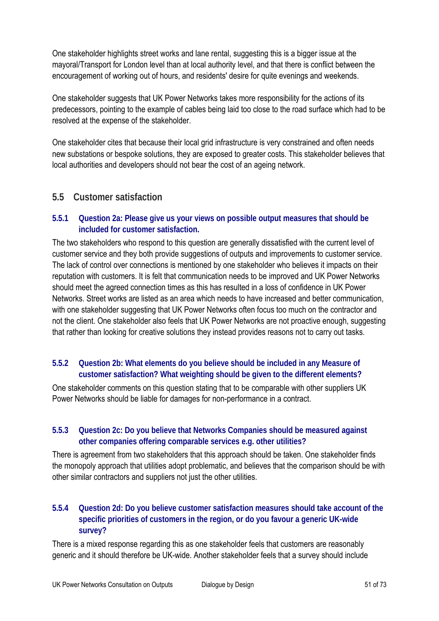One stakeholder highlights street works and lane rental, suggesting this is a bigger issue at the mayoral/Transport for London level than at local authority level, and that there is conflict between the encouragement of working out of hours, and residents' desire for quite evenings and weekends.

One stakeholder suggests that UK Power Networks takes more responsibility for the actions of its predecessors, pointing to the example of cables being laid too close to the road surface which had to be resolved at the expense of the stakeholder.

One stakeholder cites that because their local grid infrastructure is very constrained and often needs new substations or bespoke solutions, they are exposed to greater costs. This stakeholder believes that local authorities and developers should not bear the cost of an ageing network.

# **5.5 Customer satisfaction**

## **5.5.1 Question 2a: Please give us your views on possible output measures that should be included for customer satisfaction.**

The two stakeholders who respond to this question are generally dissatisfied with the current level of customer service and they both provide suggestions of outputs and improvements to customer service. The lack of control over connections is mentioned by one stakeholder who believes it impacts on their reputation with customers. It is felt that communication needs to be improved and UK Power Networks should meet the agreed connection times as this has resulted in a loss of confidence in UK Power Networks. Street works are listed as an area which needs to have increased and better communication, with one stakeholder suggesting that UK Power Networks often focus too much on the contractor and not the client. One stakeholder also feels that UK Power Networks are not proactive enough, suggesting that rather than looking for creative solutions they instead provides reasons not to carry out tasks.

# **5.5.2 Question 2b: What elements do you believe should be included in any Measure of customer satisfaction? What weighting should be given to the different elements?**

One stakeholder comments on this question stating that to be comparable with other suppliers UK Power Networks should be liable for damages for non-performance in a contract.

# **5.5.3 Question 2c: Do you believe that Networks Companies should be measured against other companies offering comparable services e.g. other utilities?**

There is agreement from two stakeholders that this approach should be taken. One stakeholder finds the monopoly approach that utilities adopt problematic, and believes that the comparison should be with other similar contractors and suppliers not just the other utilities.

## **5.5.4 Question 2d: Do you believe customer satisfaction measures should take account of the specific priorities of customers in the region, or do you favour a generic UK-wide survey?**

There is a mixed response regarding this as one stakeholder feels that customers are reasonably generic and it should therefore be UK-wide. Another stakeholder feels that a survey should include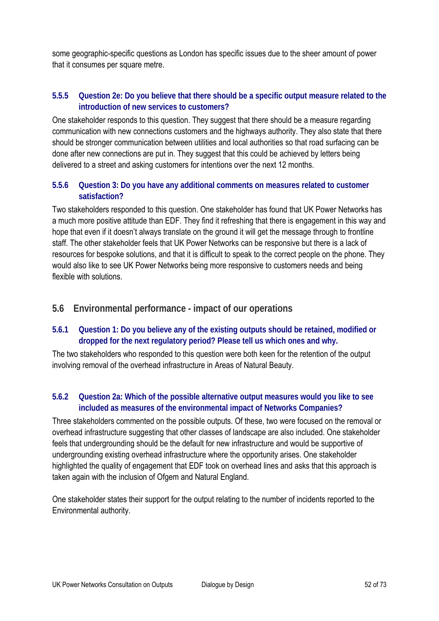some geographic-specific questions as London has specific issues due to the sheer amount of power that it consumes per square metre.

## **5.5.5 Question 2e: Do you believe that there should be a specific output measure related to the introduction of new services to customers?**

One stakeholder responds to this question. They suggest that there should be a measure regarding communication with new connections customers and the highways authority. They also state that there should be stronger communication between utilities and local authorities so that road surfacing can be done after new connections are put in. They suggest that this could be achieved by letters being delivered to a street and asking customers for intentions over the next 12 months.

## **5.5.6 Question 3: Do you have any additional comments on measures related to customer satisfaction?**

Two stakeholders responded to this question. One stakeholder has found that UK Power Networks has a much more positive attitude than EDF. They find it refreshing that there is engagement in this way and hope that even if it doesn't always translate on the ground it will get the message through to frontline staff. The other stakeholder feels that UK Power Networks can be responsive but there is a lack of resources for bespoke solutions, and that it is difficult to speak to the correct people on the phone. They would also like to see UK Power Networks being more responsive to customers needs and being flexible with solutions.

## **5.6 Environmental performance - impact of our operations**

## **5.6.1 Question 1: Do you believe any of the existing outputs should be retained, modified or dropped for the next regulatory period? Please tell us which ones and why.**

The two stakeholders who responded to this question were both keen for the retention of the output involving removal of the overhead infrastructure in Areas of Natural Beauty.

## **5.6.2 Question 2a: Which of the possible alternative output measures would you like to see included as measures of the environmental impact of Networks Companies?**

Three stakeholders commented on the possible outputs. Of these, two were focused on the removal or overhead infrastructure suggesting that other classes of landscape are also included. One stakeholder feels that undergrounding should be the default for new infrastructure and would be supportive of undergrounding existing overhead infrastructure where the opportunity arises. One stakeholder highlighted the quality of engagement that EDF took on overhead lines and asks that this approach is taken again with the inclusion of Ofgem and Natural England.

One stakeholder states their support for the output relating to the number of incidents reported to the Environmental authority.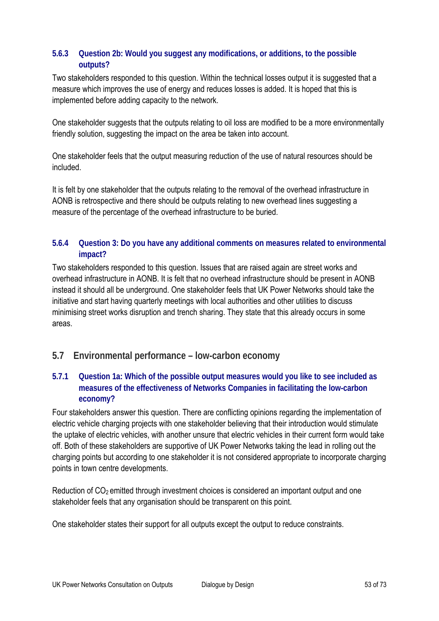## **5.6.3 Question 2b: Would you suggest any modifications, or additions, to the possible outputs?**

Two stakeholders responded to this question. Within the technical losses output it is suggested that a measure which improves the use of energy and reduces losses is added. It is hoped that this is implemented before adding capacity to the network.

One stakeholder suggests that the outputs relating to oil loss are modified to be a more environmentally friendly solution, suggesting the impact on the area be taken into account.

One stakeholder feels that the output measuring reduction of the use of natural resources should be included.

It is felt by one stakeholder that the outputs relating to the removal of the overhead infrastructure in AONB is retrospective and there should be outputs relating to new overhead lines suggesting a measure of the percentage of the overhead infrastructure to be buried.

## **5.6.4 Question 3: Do you have any additional comments on measures related to environmental impact?**

Two stakeholders responded to this question. Issues that are raised again are street works and overhead infrastructure in AONB. It is felt that no overhead infrastructure should be present in AONB instead it should all be underground. One stakeholder feels that UK Power Networks should take the initiative and start having quarterly meetings with local authorities and other utilities to discuss minimising street works disruption and trench sharing. They state that this already occurs in some areas.

# **5.7 Environmental performance – low-carbon economy**

## **5.7.1 Question 1a: Which of the possible output measures would you like to see included as measures of the effectiveness of Networks Companies in facilitating the low-carbon economy?**

Four stakeholders answer this question. There are conflicting opinions regarding the implementation of electric vehicle charging projects with one stakeholder believing that their introduction would stimulate the uptake of electric vehicles, with another unsure that electric vehicles in their current form would take off. Both of these stakeholders are supportive of UK Power Networks taking the lead in rolling out the charging points but according to one stakeholder it is not considered appropriate to incorporate charging points in town centre developments.

Reduction of CO<sub>2</sub> emitted through investment choices is considered an important output and one stakeholder feels that any organisation should be transparent on this point.

One stakeholder states their support for all outputs except the output to reduce constraints.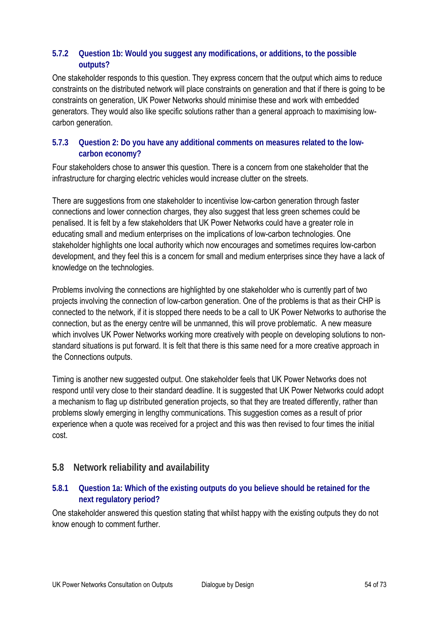## **5.7.2 Question 1b: Would you suggest any modifications, or additions, to the possible outputs?**

One stakeholder responds to this question. They express concern that the output which aims to reduce constraints on the distributed network will place constraints on generation and that if there is going to be constraints on generation, UK Power Networks should minimise these and work with embedded generators. They would also like specific solutions rather than a general approach to maximising lowcarbon generation.

## **5.7.3 Question 2: Do you have any additional comments on measures related to the lowcarbon economy?**

Four stakeholders chose to answer this question. There is a concern from one stakeholder that the infrastructure for charging electric vehicles would increase clutter on the streets.

There are suggestions from one stakeholder to incentivise low-carbon generation through faster connections and lower connection charges, they also suggest that less green schemes could be penalised. It is felt by a few stakeholders that UK Power Networks could have a greater role in educating small and medium enterprises on the implications of low-carbon technologies. One stakeholder highlights one local authority which now encourages and sometimes requires low-carbon development, and they feel this is a concern for small and medium enterprises since they have a lack of knowledge on the technologies.

Problems involving the connections are highlighted by one stakeholder who is currently part of two projects involving the connection of low-carbon generation. One of the problems is that as their CHP is connected to the network, if it is stopped there needs to be a call to UK Power Networks to authorise the connection, but as the energy centre will be unmanned, this will prove problematic. A new measure which involves UK Power Networks working more creatively with people on developing solutions to nonstandard situations is put forward. It is felt that there is this same need for a more creative approach in the Connections outputs.

Timing is another new suggested output. One stakeholder feels that UK Power Networks does not respond until very close to their standard deadline. It is suggested that UK Power Networks could adopt a mechanism to flag up distributed generation projects, so that they are treated differently, rather than problems slowly emerging in lengthy communications. This suggestion comes as a result of prior experience when a quote was received for a project and this was then revised to four times the initial cost.

# **5.8 Network reliability and availability**

## **5.8.1 Question 1a: Which of the existing outputs do you believe should be retained for the next regulatory period?**

One stakeholder answered this question stating that whilst happy with the existing outputs they do not know enough to comment further.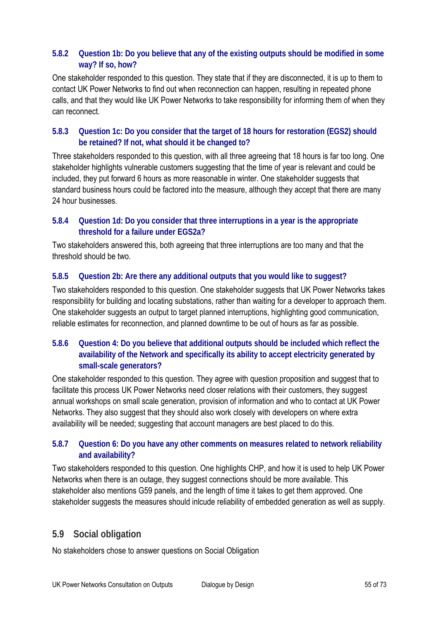## **5.8.2 Question 1b: Do you believe that any of the existing outputs should be modified in some way? If so, how?**

One stakeholder responded to this question. They state that if they are disconnected, it is up to them to contact UK Power Networks to find out when reconnection can happen, resulting in repeated phone calls, and that they would like UK Power Networks to take responsibility for informing them of when they can reconnect.

## **5.8.3 Question 1c: Do you consider that the target of 18 hours for restoration (EGS2) should be retained? If not, what should it be changed to?**

Three stakeholders responded to this question, with all three agreeing that 18 hours is far too long. One stakeholder highlights vulnerable customers suggesting that the time of year is relevant and could be included, they put forward 6 hours as more reasonable in winter. One stakeholder suggests that standard business hours could be factored into the measure, although they accept that there are many 24 hour businesses.

## **5.8.4 Question 1d: Do you consider that three interruptions in a year is the appropriate threshold for a failure under EGS2a?**

Two stakeholders answered this, both agreeing that three interruptions are too many and that the threshold should be two.

## **5.8.5 Question 2b: Are there any additional outputs that you would like to suggest?**

Two stakeholders responded to this question. One stakeholder suggests that UK Power Networks takes responsibility for building and locating substations, rather than waiting for a developer to approach them. One stakeholder suggests an output to target planned interruptions, highlighting good communication, reliable estimates for reconnection, and planned downtime to be out of hours as far as possible.

## **5.8.6 Question 4: Do you believe that additional outputs should be included which reflect the availability of the Network and specifically its ability to accept electricity generated by small-scale generators?**

One stakeholder responded to this question. They agree with question proposition and suggest that to facilitate this process UK Power Networks need closer relations with their customers, they suggest annual workshops on small scale generation, provision of information and who to contact at UK Power Networks. They also suggest that they should also work closely with developers on where extra availability will be needed; suggesting that account managers are best placed to do this.

## **5.8.7 Question 6: Do you have any other comments on measures related to network reliability and availability?**

Two stakeholders responded to this question. One highlights CHP, and how it is used to help UK Power Networks when there is an outage, they suggest connections should be more available. This stakeholder also mentions G59 panels, and the length of time it takes to get them approved. One stakeholder suggests the measures should inlcude reliability of embedded generation as well as supply.

# **5.9 Social obligation**

No stakeholders chose to answer questions on Social Obligation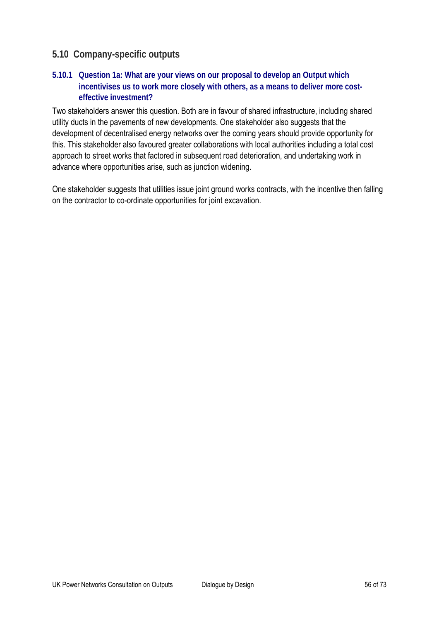# **5.10 Company-specific outputs**

## **5.10.1 Question 1a: What are your views on our proposal to develop an Output which incentivises us to work more closely with others, as a means to deliver more costeffective investment?**

Two stakeholders answer this question. Both are in favour of shared infrastructure, including shared utility ducts in the pavements of new developments. One stakeholder also suggests that the development of decentralised energy networks over the coming years should provide opportunity for this. This stakeholder also favoured greater collaborations with local authorities including a total cost approach to street works that factored in subsequent road deterioration, and undertaking work in advance where opportunities arise, such as junction widening.

One stakeholder suggests that utilities issue joint ground works contracts, with the incentive then falling on the contractor to co-ordinate opportunities for joint excavation.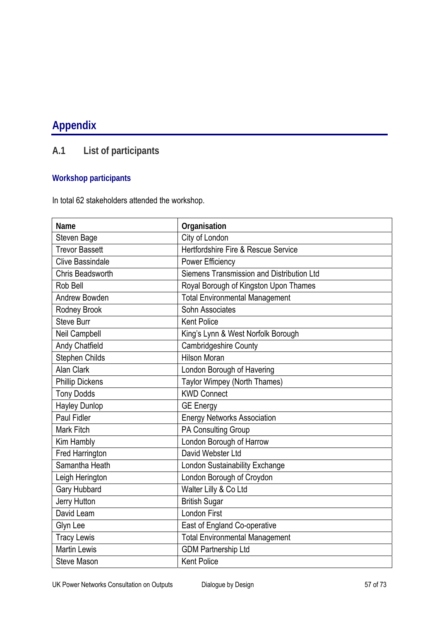# **Appendix**

# **A.1 List of participants**

# **Workshop participants**

In total 62 stakeholders attended the workshop.

| Name                    | Organisation                              |
|-------------------------|-------------------------------------------|
| Steven Bage             | City of London                            |
| <b>Trevor Bassett</b>   | Hertfordshire Fire & Rescue Service       |
| <b>Clive Bassindale</b> | <b>Power Efficiency</b>                   |
| Chris Beadsworth        | Siemens Transmission and Distribution Ltd |
| Rob Bell                | Royal Borough of Kingston Upon Thames     |
| Andrew Bowden           | <b>Total Environmental Management</b>     |
| Rodney Brook            | Sohn Associates                           |
| <b>Steve Burr</b>       | <b>Kent Police</b>                        |
| Neil Campbell           | King's Lynn & West Norfolk Borough        |
| <b>Andy Chatfield</b>   | <b>Cambridgeshire County</b>              |
| Stephen Childs          | <b>Hilson Moran</b>                       |
| <b>Alan Clark</b>       | London Borough of Havering                |
| <b>Phillip Dickens</b>  | Taylor Wimpey (North Thames)              |
| <b>Tony Dodds</b>       | <b>KWD Connect</b>                        |
| <b>Hayley Dunlop</b>    | <b>GE Energy</b>                          |
| Paul Fidler             | <b>Energy Networks Association</b>        |
| Mark Fitch              | PA Consulting Group                       |
| Kim Hambly              | London Borough of Harrow                  |
| <b>Fred Harrington</b>  | David Webster Ltd                         |
| Samantha Heath          | London Sustainability Exchange            |
| Leigh Herington         | London Borough of Croydon                 |
| Gary Hubbard            | Walter Lilly & Co Ltd                     |
| Jerry Hutton            | <b>British Sugar</b>                      |
| David Leam              | <b>London First</b>                       |
| Glyn Lee                | East of England Co-operative              |
| <b>Tracy Lewis</b>      | <b>Total Environmental Management</b>     |
| <b>Martin Lewis</b>     | <b>GDM Partnership Ltd</b>                |
| <b>Steve Mason</b>      | <b>Kent Police</b>                        |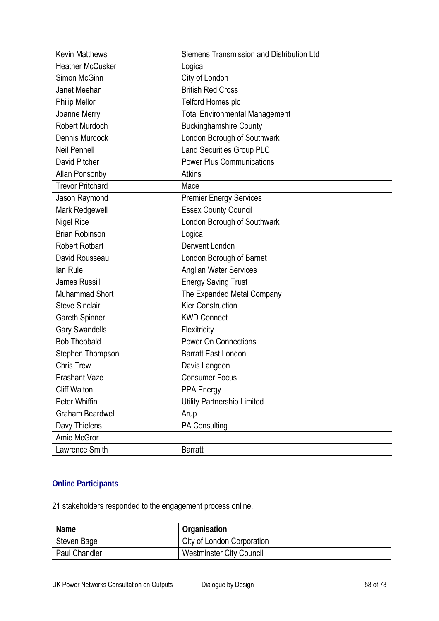| <b>Kevin Matthews</b>   | Siemens Transmission and Distribution Ltd |
|-------------------------|-------------------------------------------|
| <b>Heather McCusker</b> | Logica                                    |
| Simon McGinn            | City of London                            |
| Janet Meehan            | <b>British Red Cross</b>                  |
| <b>Philip Mellor</b>    | Telford Homes plc                         |
| Joanne Merry            | <b>Total Environmental Management</b>     |
| Robert Murdoch          | <b>Buckinghamshire County</b>             |
| Dennis Murdock          | London Borough of Southwark               |
| <b>Neil Pennell</b>     | Land Securities Group PLC                 |
| David Pitcher           | <b>Power Plus Communications</b>          |
| Allan Ponsonby          | <b>Atkins</b>                             |
| <b>Trevor Pritchard</b> | Mace                                      |
| Jason Raymond           | <b>Premier Energy Services</b>            |
| Mark Redgewell          | <b>Essex County Council</b>               |
| Nigel Rice              | London Borough of Southwark               |
| <b>Brian Robinson</b>   | Logica                                    |
| <b>Robert Rotbart</b>   | Derwent London                            |
| David Rousseau          | London Borough of Barnet                  |
| lan Rule                | <b>Anglian Water Services</b>             |
| James Russill           | <b>Energy Saving Trust</b>                |
| Muhammad Short          | The Expanded Metal Company                |
| <b>Steve Sinclair</b>   | <b>Kier Construction</b>                  |
| <b>Gareth Spinner</b>   | <b>KWD Connect</b>                        |
| <b>Gary Swandells</b>   | Flexitricity                              |
| <b>Bob Theobald</b>     | <b>Power On Connections</b>               |
| Stephen Thompson        | <b>Barratt East London</b>                |
| <b>Chris Trew</b>       | Davis Langdon                             |
| <b>Prashant Vaze</b>    | <b>Consumer Focus</b>                     |
| <b>Cliff Walton</b>     | <b>PPA Energy</b>                         |
| Peter Whiffin           | <b>Utility Partnership Limited</b>        |
| Graham Beardwell        | Arup                                      |
| Davy Thielens           | PA Consulting                             |
| Amie McGror             |                                           |
| Lawrence Smith          | <b>Barratt</b>                            |

# **Online Participants**

21 stakeholders responded to the engagement process online.

| Name                 | Organisation                    |
|----------------------|---------------------------------|
| Steven Bage          | City of London Corporation      |
| <b>Paul Chandler</b> | <b>Westminster City Council</b> |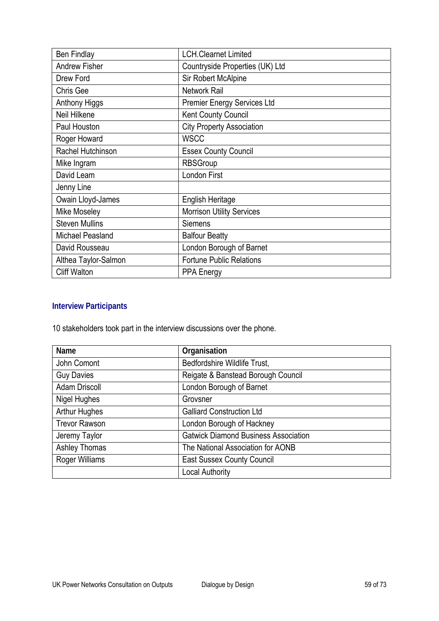| <b>Ben Findlay</b>    | <b>LCH.Clearnet Limited</b>        |
|-----------------------|------------------------------------|
| <b>Andrew Fisher</b>  | Countryside Properties (UK) Ltd    |
| Drew Ford             | Sir Robert McAlpine                |
| Chris Gee             | Network Rail                       |
| Anthony Higgs         | <b>Premier Energy Services Ltd</b> |
| Neil Hilkene          | <b>Kent County Council</b>         |
| Paul Houston          | <b>City Property Association</b>   |
| Roger Howard          | <b>WSCC</b>                        |
| Rachel Hutchinson     | <b>Essex County Council</b>        |
| Mike Ingram           | <b>RBSGroup</b>                    |
| David Leam            | <b>London First</b>                |
| Jenny Line            |                                    |
| Owain Lloyd-James     | <b>English Heritage</b>            |
| <b>Mike Moseley</b>   | <b>Morrison Utility Services</b>   |
| <b>Steven Mullins</b> | <b>Siemens</b>                     |
| Michael Peasland      | <b>Balfour Beatty</b>              |
| David Rousseau        | London Borough of Barnet           |
| Althea Taylor-Salmon  | <b>Fortune Public Relations</b>    |
| <b>Cliff Walton</b>   | <b>PPA Energy</b>                  |

# **Interview Participants**

10 stakeholders took part in the interview discussions over the phone.

| <b>Name</b>          | Organisation                                |
|----------------------|---------------------------------------------|
| John Comont          | Bedfordshire Wildlife Trust,                |
| <b>Guy Davies</b>    | Reigate & Banstead Borough Council          |
| <b>Adam Driscoll</b> | London Borough of Barnet                    |
| Nigel Hughes         | Grovsner                                    |
| <b>Arthur Hughes</b> | <b>Galliard Construction Ltd</b>            |
| <b>Trevor Rawson</b> | London Borough of Hackney                   |
| Jeremy Taylor        | <b>Gatwick Diamond Business Association</b> |
| <b>Ashley Thomas</b> | The National Association for AONB           |
| Roger Williams       | <b>East Sussex County Council</b>           |
|                      | <b>Local Authority</b>                      |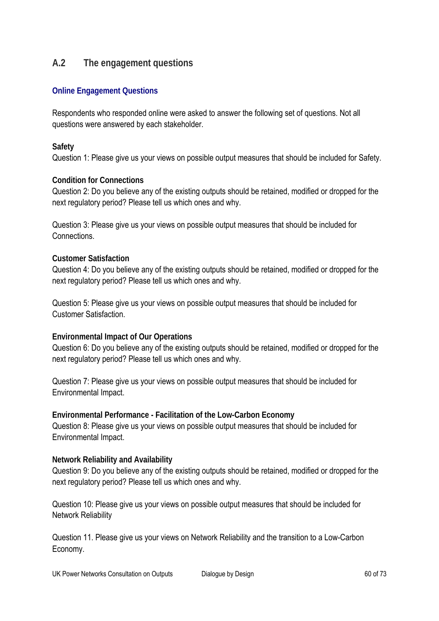# **A.2 The engagement questions**

#### **Online Engagement Questions**

Respondents who responded online were asked to answer the following set of questions. Not all questions were answered by each stakeholder.

#### **Safety**

Question 1: Please give us your views on possible output measures that should be included for Safety.

#### **Condition for Connections**

Question 2: Do you believe any of the existing outputs should be retained, modified or dropped for the next regulatory period? Please tell us which ones and why.

Question 3: Please give us your views on possible output measures that should be included for Connections.

#### **Customer Satisfaction**

Question 4: Do you believe any of the existing outputs should be retained, modified or dropped for the next regulatory period? Please tell us which ones and why.

Question 5: Please give us your views on possible output measures that should be included for Customer Satisfaction.

#### **Environmental Impact of Our Operations**

Question 6: Do you believe any of the existing outputs should be retained, modified or dropped for the next regulatory period? Please tell us which ones and why.

Question 7: Please give us your views on possible output measures that should be included for Environmental Impact.

**Environmental Performance - Facilitation of the Low-Carbon Economy**  Question 8: Please give us your views on possible output measures that should be included for Environmental Impact.

#### **Network Reliability and Availability**

Question 9: Do you believe any of the existing outputs should be retained, modified or dropped for the next regulatory period? Please tell us which ones and why.

Question 10: Please give us your views on possible output measures that should be included for Network Reliability

Question 11. Please give us your views on Network Reliability and the transition to a Low-Carbon Economy.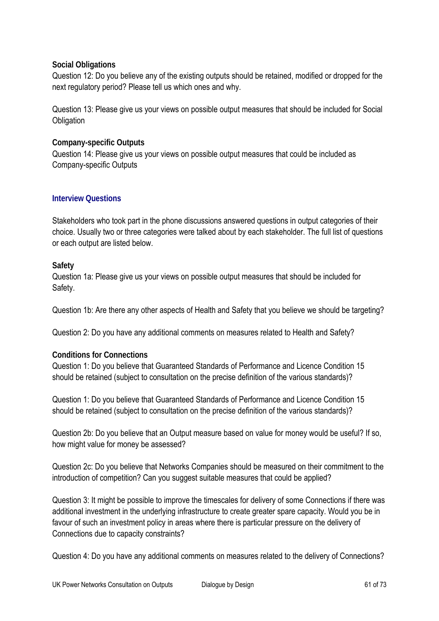#### **Social Obligations**

Question 12: Do you believe any of the existing outputs should be retained, modified or dropped for the next regulatory period? Please tell us which ones and why.

Question 13: Please give us your views on possible output measures that should be included for Social **Obligation** 

#### **Company-specific Outputs**

Question 14: Please give us your views on possible output measures that could be included as Company-specific Outputs

#### **Interview Questions**

Stakeholders who took part in the phone discussions answered questions in output categories of their choice. Usually two or three categories were talked about by each stakeholder. The full list of questions or each output are listed below.

#### **Safety**

Question 1a: Please give us your views on possible output measures that should be included for Safety.

Question 1b: Are there any other aspects of Health and Safety that you believe we should be targeting?

Question 2: Do you have any additional comments on measures related to Health and Safety?

#### **Conditions for Connections**

Question 1: Do you believe that Guaranteed Standards of Performance and Licence Condition 15 should be retained (subject to consultation on the precise definition of the various standards)?

Question 1: Do you believe that Guaranteed Standards of Performance and Licence Condition 15 should be retained (subject to consultation on the precise definition of the various standards)?

Question 2b: Do you believe that an Output measure based on value for money would be useful? If so, how might value for money be assessed?

Question 2c: Do you believe that Networks Companies should be measured on their commitment to the introduction of competition? Can you suggest suitable measures that could be applied?

Question 3: It might be possible to improve the timescales for delivery of some Connections if there was additional investment in the underlying infrastructure to create greater spare capacity. Would you be in favour of such an investment policy in areas where there is particular pressure on the delivery of Connections due to capacity constraints?

Question 4: Do you have any additional comments on measures related to the delivery of Connections?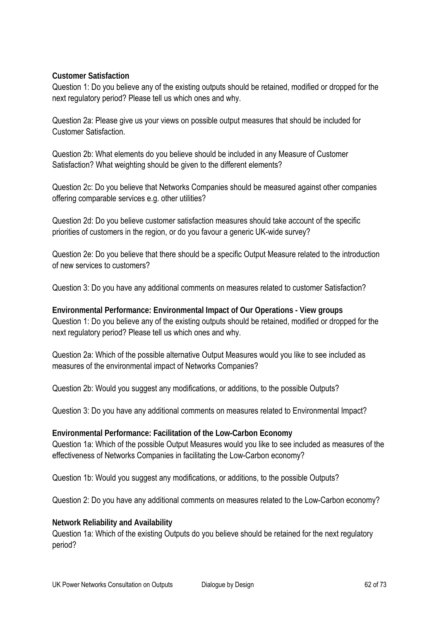#### **Customer Satisfaction**

Question 1: Do you believe any of the existing outputs should be retained, modified or dropped for the next regulatory period? Please tell us which ones and why.

Question 2a: Please give us your views on possible output measures that should be included for Customer Satisfaction.

Question 2b: What elements do you believe should be included in any Measure of Customer Satisfaction? What weighting should be given to the different elements?

Question 2c: Do you believe that Networks Companies should be measured against other companies offering comparable services e.g. other utilities?

Question 2d: Do you believe customer satisfaction measures should take account of the specific priorities of customers in the region, or do you favour a generic UK-wide survey?

Question 2e: Do you believe that there should be a specific Output Measure related to the introduction of new services to customers?

Question 3: Do you have any additional comments on measures related to customer Satisfaction?

**Environmental Performance: Environmental Impact of Our Operations - View groups**  Question 1: Do you believe any of the existing outputs should be retained, modified or dropped for the next regulatory period? Please tell us which ones and why.

Question 2a: Which of the possible alternative Output Measures would you like to see included as measures of the environmental impact of Networks Companies?

Question 2b: Would you suggest any modifications, or additions, to the possible Outputs?

Question 3: Do you have any additional comments on measures related to Environmental Impact?

**Environmental Performance: Facilitation of the Low-Carbon Economy**  Question 1a: Which of the possible Output Measures would you like to see included as measures of the effectiveness of Networks Companies in facilitating the Low-Carbon economy?

Question 1b: Would you suggest any modifications, or additions, to the possible Outputs?

Question 2: Do you have any additional comments on measures related to the Low-Carbon economy?

#### **Network Reliability and Availability**

Question 1a: Which of the existing Outputs do you believe should be retained for the next regulatory period?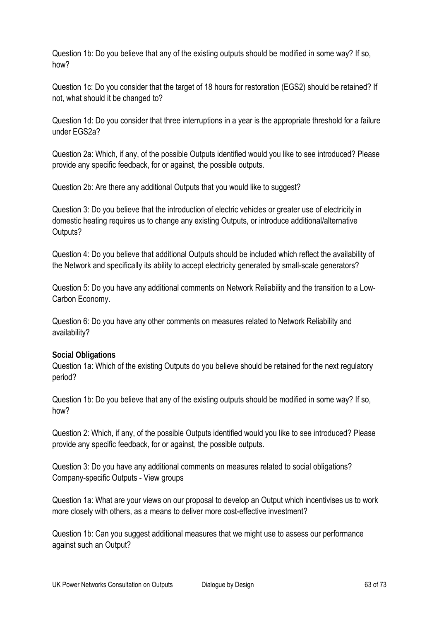Question 1b: Do you believe that any of the existing outputs should be modified in some way? If so, how?

Question 1c: Do you consider that the target of 18 hours for restoration (EGS2) should be retained? If not, what should it be changed to?

Question 1d: Do you consider that three interruptions in a year is the appropriate threshold for a failure under EGS2a?

Question 2a: Which, if any, of the possible Outputs identified would you like to see introduced? Please provide any specific feedback, for or against, the possible outputs.

Question 2b: Are there any additional Outputs that you would like to suggest?

Question 3: Do you believe that the introduction of electric vehicles or greater use of electricity in domestic heating requires us to change any existing Outputs, or introduce additional/alternative Outputs?

Question 4: Do you believe that additional Outputs should be included which reflect the availability of the Network and specifically its ability to accept electricity generated by small-scale generators?

Question 5: Do you have any additional comments on Network Reliability and the transition to a Low-Carbon Economy.

Question 6: Do you have any other comments on measures related to Network Reliability and availability?

#### **Social Obligations**

Question 1a: Which of the existing Outputs do you believe should be retained for the next regulatory period?

Question 1b: Do you believe that any of the existing outputs should be modified in some way? If so, how?

Question 2: Which, if any, of the possible Outputs identified would you like to see introduced? Please provide any specific feedback, for or against, the possible outputs.

Question 3: Do you have any additional comments on measures related to social obligations? Company-specific Outputs - View groups

Question 1a: What are your views on our proposal to develop an Output which incentivises us to work more closely with others, as a means to deliver more cost-effective investment?

Question 1b: Can you suggest additional measures that we might use to assess our performance against such an Output?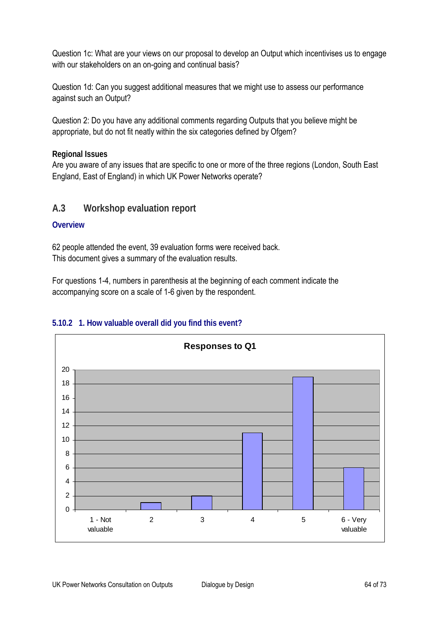Question 1c: What are your views on our proposal to develop an Output which incentivises us to engage with our stakeholders on an on-going and continual basis?

Question 1d: Can you suggest additional measures that we might use to assess our performance against such an Output?

Question 2: Do you have any additional comments regarding Outputs that you believe might be appropriate, but do not fit neatly within the six categories defined by Ofgem?

**Regional Issues** 

Are you aware of any issues that are specific to one or more of the three regions (London, South East England, East of England) in which UK Power Networks operate?

# **A.3 Workshop evaluation report**

#### **Overview**

62 people attended the event, 39 evaluation forms were received back. This document gives a summary of the evaluation results.

For questions 1-4, numbers in parenthesis at the beginning of each comment indicate the accompanying score on a scale of 1-6 given by the respondent.



## **5.10.2 1. How valuable overall did you find this event?**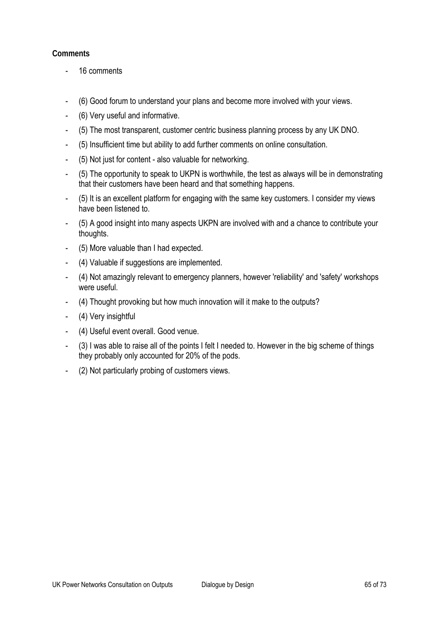- 16 comments
- (6) Good forum to understand your plans and become more involved with your views.
- (6) Very useful and informative.
- (5) The most transparent, customer centric business planning process by any UK DNO.
- (5) Insufficient time but ability to add further comments on online consultation.
- (5) Not just for content also valuable for networking.
- (5) The opportunity to speak to UKPN is worthwhile, the test as always will be in demonstrating that their customers have been heard and that something happens.
- (5) It is an excellent platform for engaging with the same key customers. I consider my views have been listened to.
- (5) A good insight into many aspects UKPN are involved with and a chance to contribute your thoughts.
- (5) More valuable than I had expected.
- (4) Valuable if suggestions are implemented.
- (4) Not amazingly relevant to emergency planners, however 'reliability' and 'safety' workshops were useful.
- (4) Thought provoking but how much innovation will it make to the outputs?
- (4) Very insightful
- (4) Useful event overall. Good venue.
- (3) I was able to raise all of the points I felt I needed to. However in the big scheme of things they probably only accounted for 20% of the pods.
- (2) Not particularly probing of customers views.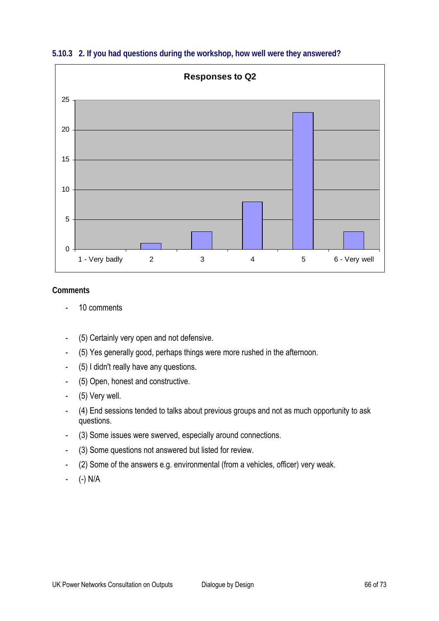

#### **5.10.3 2. If you had questions during the workshop, how well were they answered?**

- 10 comments
- (5) Certainly very open and not defensive.
- (5) Yes generally good, perhaps things were more rushed in the afternoon.
- (5) I didn't really have any questions.
- (5) Open, honest and constructive.
- (5) Very well.
- (4) End sessions tended to talks about previous groups and not as much opportunity to ask questions.
- (3) Some issues were swerved, especially around connections.
- (3) Some questions not answered but listed for review.
- (2) Some of the answers e.g. environmental (from a vehicles, officer) very weak.
- (-) N/A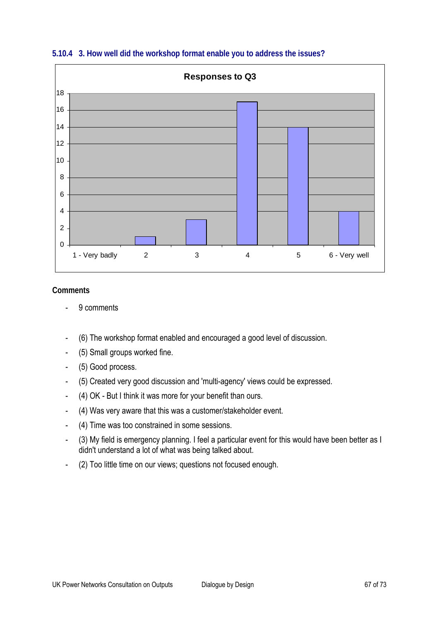

**5.10.4 3. How well did the workshop format enable you to address the issues?** 

- 9 comments
- (6) The workshop format enabled and encouraged a good level of discussion.
- (5) Small groups worked fine.
- (5) Good process.
- (5) Created very good discussion and 'multi-agency' views could be expressed.
- (4) OK But I think it was more for your benefit than ours.
- (4) Was very aware that this was a customer/stakeholder event.
- (4) Time was too constrained in some sessions.
- (3) My field is emergency planning. I feel a particular event for this would have been better as I didn't understand a lot of what was being talked about.
- (2) Too little time on our views; questions not focused enough.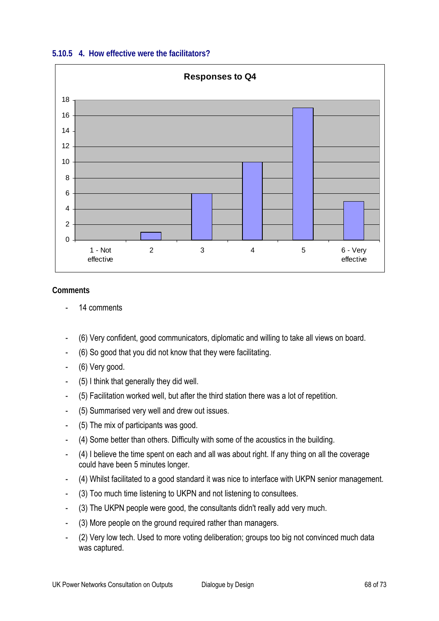



- 14 comments
- (6) Very confident, good communicators, diplomatic and willing to take all views on board.
- (6) So good that you did not know that they were facilitating.
- (6) Very good.
- (5) I think that generally they did well.
- (5) Facilitation worked well, but after the third station there was a lot of repetition.
- (5) Summarised very well and drew out issues.
- (5) The mix of participants was good.
- (4) Some better than others. Difficulty with some of the acoustics in the building.
- (4) I believe the time spent on each and all was about right. If any thing on all the coverage could have been 5 minutes longer.
- (4) Whilst facilitated to a good standard it was nice to interface with UKPN senior management.
- (3) Too much time listening to UKPN and not listening to consultees.
- (3) The UKPN people were good, the consultants didn't really add very much.
- (3) More people on the ground required rather than managers.
- (2) Very low tech. Used to more voting deliberation; groups too big not convinced much data was captured.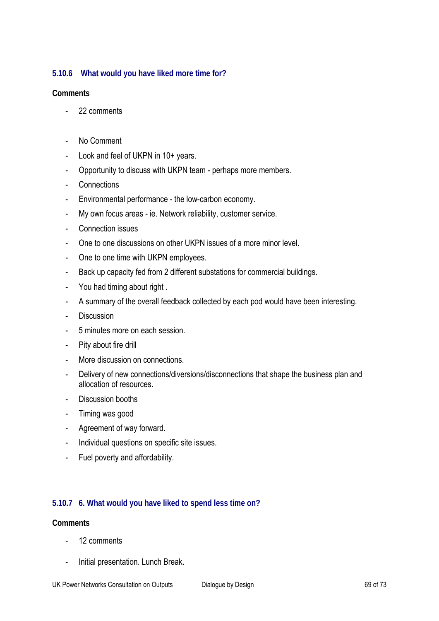## **5.10.6 What would you have liked more time for?**

#### **Comments**

- 22 comments
- No Comment
- Look and feel of UKPN in 10+ years.
- Opportunity to discuss with UKPN team perhaps more members.
- Connections
- Environmental performance the low-carbon economy.
- My own focus areas ie. Network reliability, customer service.
- Connection issues
- One to one discussions on other UKPN issues of a more minor level.
- One to one time with UKPN employees.
- Back up capacity fed from 2 different substations for commercial buildings.
- You had timing about right .
- A summary of the overall feedback collected by each pod would have been interesting.
- Discussion
- 5 minutes more on each session.
- Pity about fire drill
- More discussion on connections.
- Delivery of new connections/diversions/disconnections that shape the business plan and allocation of resources.
- Discussion booths
- Timing was good
- Agreement of way forward.
- Individual questions on specific site issues.
- Fuel poverty and affordability.

#### **5.10.7 6. What would you have liked to spend less time on?**

- 12 comments
- Initial presentation. Lunch Break.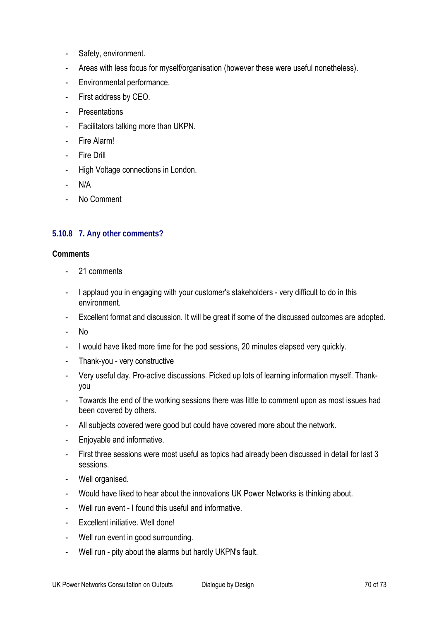- Safety, environment.
- Areas with less focus for myself/organisation (however these were useful nonetheless).
- Environmental performance.
- First address by CEO.
- Presentations
- Facilitators talking more than UKPN.
- Fire Alarm!
- Fire Drill
- High Voltage connections in London.
- $N/A$
- No Comment

## **5.10.8 7. Any other comments?**

- 21 comments
- I applaud you in engaging with your customer's stakeholders very difficult to do in this environment.
- Excellent format and discussion. It will be great if some of the discussed outcomes are adopted.
- No
- I would have liked more time for the pod sessions, 20 minutes elapsed very quickly.
- Thank-you very constructive
- Very useful day. Pro-active discussions. Picked up lots of learning information myself. Thankyou
- Towards the end of the working sessions there was little to comment upon as most issues had been covered by others.
- All subjects covered were good but could have covered more about the network.
- Enjoyable and informative.
- First three sessions were most useful as topics had already been discussed in detail for last 3 sessions.
- Well organised.
- Would have liked to hear about the innovations UK Power Networks is thinking about.
- Well run event I found this useful and informative.
- Excellent initiative. Well done!
- Well run event in good surrounding.
- Well run pity about the alarms but hardly UKPN's fault.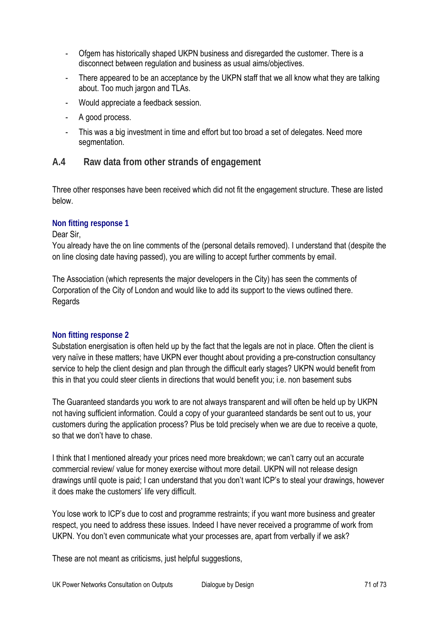- Ofgem has historically shaped UKPN business and disregarded the customer. There is a disconnect between regulation and business as usual aims/objectives.
- There appeared to be an acceptance by the UKPN staff that we all know what they are talking about. Too much jargon and TLAs.
- Would appreciate a feedback session.
- A good process.
- This was a big investment in time and effort but too broad a set of delegates. Need more segmentation.

# **A.4 Raw data from other strands of engagement**

Three other responses have been received which did not fit the engagement structure. These are listed below.

## **Non fitting response 1**

#### Dear Sir,

You already have the on line comments of the (personal details removed). I understand that (despite the on line closing date having passed), you are willing to accept further comments by email.

The Association (which represents the major developers in the City) has seen the comments of Corporation of the City of London and would like to add its support to the views outlined there. Regards

#### **Non fitting response 2**

Substation energisation is often held up by the fact that the legals are not in place. Often the client is very naïve in these matters; have UKPN ever thought about providing a pre-construction consultancy service to help the client design and plan through the difficult early stages? UKPN would benefit from this in that you could steer clients in directions that would benefit you; i.e. non basement subs

The Guaranteed standards you work to are not always transparent and will often be held up by UKPN not having sufficient information. Could a copy of your guaranteed standards be sent out to us, your customers during the application process? Plus be told precisely when we are due to receive a quote, so that we don't have to chase.

I think that I mentioned already your prices need more breakdown; we can't carry out an accurate commercial review/ value for money exercise without more detail. UKPN will not release design drawings until quote is paid; I can understand that you don't want ICP's to steal your drawings, however it does make the customers' life very difficult.

You lose work to ICP's due to cost and programme restraints; if you want more business and greater respect, you need to address these issues. Indeed I have never received a programme of work from UKPN. You don't even communicate what your processes are, apart from verbally if we ask?

These are not meant as criticisms, just helpful suggestions,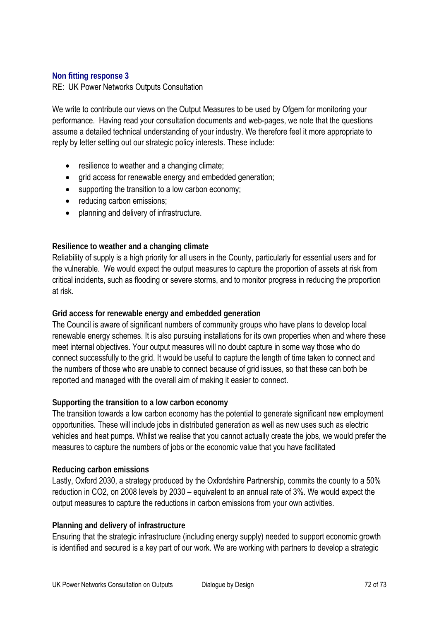#### **Non fitting response 3**

RE: UK Power Networks Outputs Consultation

We write to contribute our views on the Output Measures to be used by Ofgem for monitoring your performance. Having read your consultation documents and web-pages, we note that the questions assume a detailed technical understanding of your industry. We therefore feel it more appropriate to reply by letter setting out our strategic policy interests. These include:

- resilience to weather and a changing climate;
- grid access for renewable energy and embedded generation;
- supporting the transition to a low carbon economy;
- reducing carbon emissions;
- planning and delivery of infrastructure.

#### **Resilience to weather and a changing climate**

Reliability of supply is a high priority for all users in the County, particularly for essential users and for the vulnerable. We would expect the output measures to capture the proportion of assets at risk from critical incidents, such as flooding or severe storms, and to monitor progress in reducing the proportion at risk.

#### **Grid access for renewable energy and embedded generation**

The Council is aware of significant numbers of community groups who have plans to develop local renewable energy schemes. It is also pursuing installations for its own properties when and where these meet internal objectives. Your output measures will no doubt capture in some way those who do connect successfully to the grid. It would be useful to capture the length of time taken to connect and the numbers of those who are unable to connect because of grid issues, so that these can both be reported and managed with the overall aim of making it easier to connect.

#### **Supporting the transition to a low carbon economy**

The transition towards a low carbon economy has the potential to generate significant new employment opportunities. These will include jobs in distributed generation as well as new uses such as electric vehicles and heat pumps. Whilst we realise that you cannot actually create the jobs, we would prefer the measures to capture the numbers of jobs or the economic value that you have facilitated

#### **Reducing carbon emissions**

Lastly, Oxford 2030, a strategy produced by the Oxfordshire Partnership, commits the county to a 50% reduction in CO2, on 2008 levels by 2030 – equivalent to an annual rate of 3%. We would expect the output measures to capture the reductions in carbon emissions from your own activities.

#### **Planning and delivery of infrastructure**

Ensuring that the strategic infrastructure (including energy supply) needed to support economic growth is identified and secured is a key part of our work. We are working with partners to develop a strategic